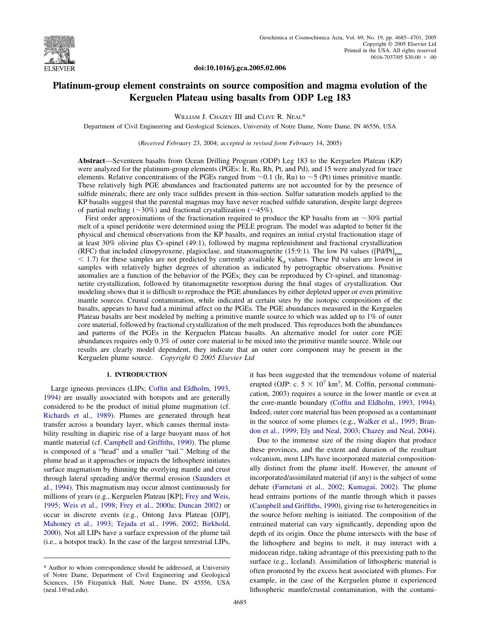

**doi:10.1016/j.gca.2005.02.006**

# **Platinum-group element constraints on source composition and magma evolution of the Kerguelen Plateau using basalts from ODP Leg 183**

WILLIAM J. CHAZEY III and CLIVE R. NEAL\*

Department of Civil Engineering and Geological Sciences, University of Notre Dame, Notre Dame, IN 46556, USA

(*Received February* 23, 2004; *accepted in revised form February* 14, 2005)

**Abstract**—Seventeen basalts from Ocean Drilling Program (ODP) Leg 183 to the Kerguelen Plateau (KP) were analyzed for the platinum-group elements (PGEs: Ir, Ru, Rh, Pt, and Pd), and 15 were analyzed for trace elements. Relative concentrations of the PGEs ranged from  $\sim 0.1$  (Ir, Ru) to  $\sim 5$  (Pt) times primitive mantle. These relatively high PGE abundances and fractionated patterns are not accounted for by the presence of sulfide minerals; there are only trace sulfides present in thin-section. Sulfur saturation models applied to the KP basalts suggest that the parental magmas may have never reached sulfide saturation, despite large degrees of partial melting ( $\sim$ 30%) and fractional crystallization ( $\sim$ 45%).

First order approximations of the fractionation required to produce the KP basalts from an  $\sim$ 30% partial melt of a spinel peridotite were determined using the PELE program. The model was adapted to better fit the physical and chemical observations from the KP basalts, and requires an initial crystal fractionation stage of at least 30% olivine plus Cr-spinel (49:1), followed by magma replenishment and fractional crystallization (RFC) that included clinopyroxene, plagioclase, and titanomagnetite (15:9:1). The low Pd values ( $[Pd/Pt]_{\text{pm}}$  $\leq$  1.7) for these samples are not predicted by currently available  $K_d$  values. These Pd values are lowest in samples with relatively higher degrees of alteration as indicated by petrographic observations. Positive anomalies are a function of the behavior of the PGEs; they can be reproduced by Cr-spinel, and titanomagnetite crystallization, followed by titanomagnetite resorption during the final stages of crystallization. Our modeling shows that it is difficult to reproduce the PGE abundances by either depleted upper or even primitive mantle sources. Crustal contamination, while indicated at certain sites by the isotopic compositions of the basalts, appears to have had a minimal affect on the PGEs. The PGE abundances measured in the Kerguelen Plateau basalts are best modeled by melting a primitive mantle source to which was added up to 1% of outer core material, followed by fractional crystallization of the melt produced. This reproduces both the abundances and patterns of the PGEs in the Kerguelen Plateau basalts. An alternative model for outer core PGE abundances requires only 0.3% of outer core material to be mixed into the primitive mantle source. While our results are clearly model dependent, they indicate that an outer core component may be present in the Kerguelen plume source. *Copyright © 2005 Elsevier Ltd*

# **1. INTRODUCTION**

Large igneous provinces (LIPs; [Coffin and Eldholm, 1993,](#page-14-0) [1994\)](#page-14-0) are usually associated with hotspots and are generally considered to be the product of initial plume magmatism (cf. [Richards et al., 1989\)](#page-16-0). Plumes are generated through heat transfer across a boundary layer, which causes thermal instability resulting in diapiric rise of a large buoyant mass of hot mantle material (cf. [Campbell and Griffiths, 1990\)](#page-14-0). The plume is composed of a "head" and a smaller "tail." Melting of the plume head as it approaches or impacts the lithosphere initiates surface magmatism by thinning the overlying mantle and crust through lateral spreading and/or thermal erosion [\(Saunders et](#page-16-0) [al., 1994\)](#page-16-0). This magmatism may occur almost continuously for millions of years (e.g., Kerguelen Plateau [KP]; [Frey and Weis,](#page-14-0) [1995; Weis et al., 1998; Frey et al., 2000a; Duncan 2002\)](#page-14-0) or occur in discrete events (e.g., Ontong Java Plateau [OJP], [Mahoney et al., 1993; Tejada et al., 1996, 2002; Birkhold,](#page-15-0) [2000\)](#page-15-0). Not all LIPs have a surface expression of the plume tail (i.e., a hotspot track). In the case of the largest terrestrial LIPs, it has been suggested that the tremendous volume of material erupted (OJP: c.  $5 \times 10^7$  km<sup>3</sup>, M. Coffin, personal communication, 2003) requires a source in the lower mantle or even at the core-mantle boundary [\(Coffin and Eldholm, 1993, 1994\)](#page-14-0). Indeed, outer core material has been proposed as a contaminant in the source of some plumes (e.g., [Walker et al., 1995; Bran](#page-16-0)[don et al., 1999; Ely and Neal, 2003; Chazey and Neal, 2004\)](#page-16-0).

Due to the immense size of the rising diapirs that produce these provinces, and the extent and duration of the resultant volcanism, most LIPs have incorporated material compositionally distinct from the plume itself. However, the amount of incorporated/assimilated material (if any) is the subject of some debate [\(Farnetani et al., 2002; Kumagai, 2002\)](#page-14-0). The plume head entrains portions of the mantle through which it passes [\(Campbell and Griffiths, 1990\)](#page-14-0), giving rise to heterogeneities in the source before melting is initiated. The composition of the entrained material can vary significantly, depending upon the depth of its origin. Once the plume intersects with the base of the lithosphere and begins to melt, it may interact with a midocean ridge, taking advantage of this preexisting path to the surface (e.g., Iceland). Assimilation of lithospheric material is often promoted by the excess heat associated with plumes. For example, in the case of the Kerguelen plume it experienced lithospheric mantle/crustal contamination, with the contami-

<sup>\*</sup> Author to whom correspondence should be addressed, at University of Notre Dame, Department of Civil Engineering and Geological Sciences, 156 Fitzpatrick Hall, Notre Dame, IN 45556, USA (neal.1@nd.edu).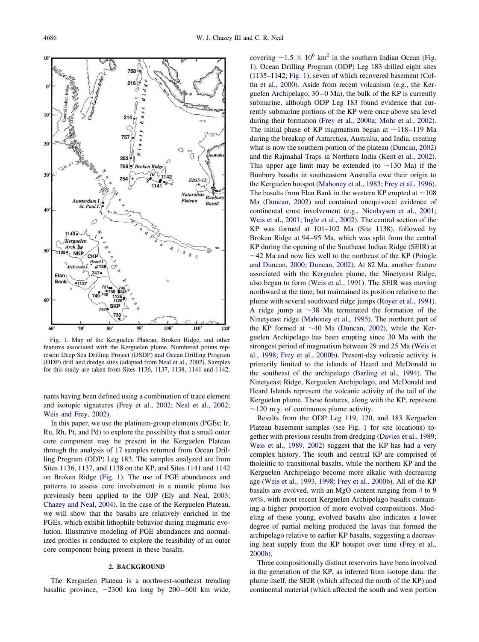<span id="page-1-0"></span>

Fig. 1. Map of the Kerguelen Plateau, Broken Ridge, and other features associated with the Kerguelen plume. Numbered points represent Deep Sea Drilling Project (DSDP) and Ocean Drilling Program (ODP) drill and dredge sites (adapted from [Neal et al., 2002\)](#page-15-0). Samples for this study are taken from Sites 1136, 1137, 1138, 1141 and 1142.

nants having been defined using a combination of trace element and isotopic signatures [\(Frey et al., 2002; Neal et al., 2002;](#page-15-0) [Weis and Frey, 2002\)](#page-15-0).

In this paper, we use the platinum-group elements (PGEs; Ir, Ru, Rh, Pt, and Pd) to explore the possibility that a small outer core component may be present in the Kerguelen Plateau through the analysis of 17 samples returned from Ocean Drilling Program (ODP) Leg 183. The samples analyzed are from Sites 1136, 1137, and 1138 on the KP, and Sites 1141 and 1142 on Broken Ridge (Fig. 1). The use of PGE abundances and patterns to assess core involvement in a mantle plume has previously been applied to the OJP [\(Ely and Neal, 2003;](#page-14-0) [Chazey and Neal, 2004\)](#page-14-0). In the case of the Kerguelen Plateau, we will show that the basalts are relatively enriched in the PGEs, which exhibit lithophile behavior during magmatic evolution. Illustrative modeling of PGE abundances and normalized profiles is conducted to explore the feasibility of an outer core component being present in these basalts.

## **2. BACKGROUND**

The Kerguelen Plateau is a northwest-southeast trending basaltic province,  $\sim$  2300 km long by 200–600 km wide, covering  $\sim$ 1.5  $\times$  10<sup>6</sup> km<sup>2</sup> in the southern Indian Ocean (Fig. 1). Ocean Drilling Program (ODP) Leg 183 drilled eight sites (1135–1142; Fig. 1), seven of which recovered basement [\(Cof](#page-14-0)[fin et al., 2000\)](#page-14-0). Aside from recent volcanism (e.g., the Kerguelen Archipelago, 30–0 Ma), the bulk of the KP is currently submarine, although ODP Leg 183 found evidence that currently submarine portions of the KP were once above sea level during their formation [\(Frey et al., 2000a; Mohr et al., 2002\)](#page-14-0). The initial phase of KP magmatism began at  $\sim$ 118–119 Ma during the breakup of Antarctica, Australia, and India, creating what is now the southern portion of the plateau [\(Duncan, 2002\)](#page-14-0) and the Rajmahal Traps in Northern India [\(Kent et al., 2002\)](#page-15-0). This upper age limit may be extended (to  $\sim$ 130 Ma) if the Bunbury basalts in southeastern Australia owe their origin to the Kerguelen hotspot [\(Mahoney et al., 1983; Frey et al., 1996\)](#page-15-0). The basalts from Elan Bank in the western KP erupted at  $\sim$  108 Ma [\(Duncan, 2002\)](#page-14-0) and contained unequivocal evidence of continental crust involvement (e.g., [Nicolaysen et al., 2001;](#page-15-0) [Weis et al., 2001; Ingle et al., 2002\)](#page-15-0). The central section of the KP was formed at 101–102 Ma (Site 1138), followed by Broken Ridge at 94–95 Ma, which was split from the central KP during the opening of the Southeast Indian Ridge (SEIR) at  $\sim$ 42 Ma and now lies well to the northeast of the KP [\(Pringle](#page-15-0) [and Duncan, 2000; Duncan, 2002\)](#page-15-0). At 82 Ma, another feature associated with the Kerguelen plume, the Ninetyeast Ridge, also began to form [\(Weis et al., 1991\)](#page-16-0). The SEIR was moving northward at the time, but maintained its position relative to the plume with several southward ridge jumps [\(Royer et al., 1991\)](#page-16-0). A ridge jump at  $\sim$ 38 Ma terminated the formation of the Ninetyeast ridge [\(Mahoney et al., 1995\)](#page-15-0). The northern part of the KP formed at  $\sim$ 40 Ma [\(Duncan, 2002\)](#page-14-0), while the Kerguelen Archipelago has been erupting since 30 Ma with the strongest period of magmatism between 29 and 25 Ma [\(Weis et](#page-16-0) [al., 1998; Frey et al., 2000b\)](#page-16-0). Present-day volcanic activity is primarily limited to the islands of Heard and McDonald to the southeast of the archipelago [\(Barling et al., 1994\)](#page-14-0). The Ninetyeast Ridge, Kerguelen Archipelago, and McDonald and Heard Islands represent the volcanic activity of the tail of the Kerguelen plume. These features, along with the KP, represent  $\sim$ 120 m.y. of continuous plume activity.

Results from the ODP Leg 119, 120, and 183 Kerguelen Plateau basement samples (see Fig. 1 for site locations) together with previous results from dredging [\(Davies et al., 1989;](#page-14-0) [Weis et al., 1989, 2002\)](#page-14-0) suggest that the KP has had a very complex history. The south and central KP are comprised of tholeiitic to transitional basalts, while the northern KP and the Kerguelen Archipelago become more alkalic with decreasing age [\(Weis et al., 1993, 1998; Frey et al., 2000b\)](#page-16-0). All of the KP basalts are evolved, with an MgO content ranging from 4 to 9 wt%, with most recent Kerguelen Archipelago basalts containing a higher proportion of more evolved compositions. Modeling of these young, evolved basalts also indicates a lower degree of partial melting produced the lavas that formed the archipelago relative to earlier KP basalts, suggesting a decreasing heat supply from the KP hotspot over time [\(Frey et al.,](#page-15-0) [2000b\)](#page-15-0).

Three compositionally distinct reservoirs have been involved in the generation of the KP, as inferred from isotope data: the plume itself, the SEIR (which affected the north of the KP) and continental material (which affected the south and west portion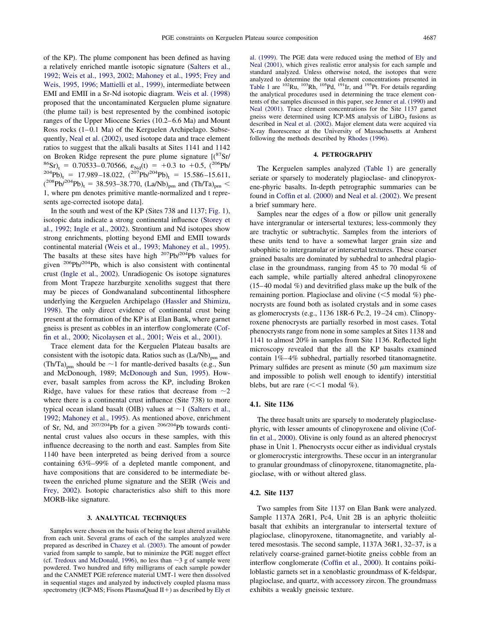of the KP). The plume component has been defined as having a relatively enriched mantle isotopic signature [\(Salters et al.,](#page-16-0) [1992; Weis et al., 1993, 2002; Mahoney et al., 1995; Frey and](#page-16-0) [Weis, 1995, 1996; Mattielli et al., 1999\)](#page-16-0), intermediate between EMI and EMII in a Sr-Nd isotopic diagram. [Weis et al. \(1998\)](#page-16-0) proposed that the uncontaminated Kerguelen plume signature (the plume tail) is best represented by the combined isotopic ranges of the Upper Miocene Series (10.2–6.6 Ma) and Mount Ross rocks (1–0.1 Ma) of the Kerguelen Archipelago. Subsequently, [Neal et al. \(2002\),](#page-15-0) used isotope data and trace element ratios to suggest that the alkali basalts at Sites 1141 and 1142 on Broken Ridge represent the pure plume signature  $\binom{8^8}{5r}$ <br>  $\binom{86}{5r}$ , = 0.70533–0.70566,  $\varepsilon_{Nd}(t) = +0.3$  to +0.5, (<sup>206</sup>Pb/<br>  $\binom{204}{4}$ Pb)<sub>t</sub> = 17.989–18.022, (<sup>207</sup>Pb/<sup>204</sup>Pb)<sub>t</sub> = 15.586–15.611,  $(^{208}Pb/^{204}Pb)_t = 38.593-38.770$ ,  $(La/Nb)_{pm}$  and  $(Th/Ta)_{pm}$ 1, where pm denotes primitive mantle-normalized and t represents age-corrected isotope data].

In the south and west of the KP (Sites 738 and 1137; [Fig. 1\)](#page-1-0), isotopic data indicate a strong continental influence [\(Storey et](#page-16-0) [al., 1992; Ingle et al., 2002\)](#page-16-0). Strontium and Nd isotopes show strong enrichments, plotting beyond EMI and EMII towards continental material [\(Weis et al., 1993; Mahoney et al., 1995\)](#page-16-0). The basalts at these sites have high  $207Pb/204Pb$  values for given  $206Pb/204Pb$ , which is also consistent with continental crust [\(Ingle et al., 2002\)](#page-15-0). Unradiogenic Os isotope signatures from Mont Trapeze harzburgite xenoliths suggest that there may be pieces of Gondwanaland subcontinental lithosphere underlying the Kerguelen Archipelago [\(Hassler and Shimizu,](#page-15-0) [1998\)](#page-15-0). The only direct evidence of continental crust being present at the formation of the KP is at Elan Bank, where garnet gneiss is present as cobbles in an interflow conglomerate [\(Cof](#page-14-0)[fin et al., 2000; Nicolaysen et al., 2001; Weis et al., 2001\)](#page-14-0).

Trace element data for the Kerguelen Plateau basalts are consistent with the isotopic data. Ratios such as  $(La/Nb)_{pm}$  and  $(Th/Ta)_{\text{pm}}$  should be  $\sim$ 1 for mantle-derived basalts (e.g., Sun and McDonough, 1989; [McDonough and Sun, 1995\)](#page-15-0). However, basalt samples from across the KP, including Broken Ridge, have values for these ratios that decrease from  $\sim$ 2 where there is a continental crust influence (Site 738) to more typical ocean island basalt (OIB) values at  $\sim$  1 [\(Salters et al.,](#page-16-0) [1992;](#page-16-0) [Mahoney et al., 1995\)](#page-15-0). As mentioned above, enrichment of Sr, Nd, and 207/204Pb for a given 206/204Pb towards continental crust values also occurs in these samples, with this influence decreasing to the north and east. Samples from Site 1140 have been interpreted as being derived from a source containing 63%–99% of a depleted mantle component, and have compositions that are considered to be intermediate between the enriched plume signature and the SEIR [\(Weis and](#page-16-0) [Frey, 2002\)](#page-16-0). Isotopic characteristics also shift to this more MORB-like signature.

## **3. ANALYTICAL TECHNIQUES**

Samples were chosen on the basis of being the least altered available from each unit. Several grams of each of the samples analyzed were prepared as described in [Chazey et al. \(2003\).](#page-14-0) The amount of powder varied from sample to sample, but to minimize the PGE nugget effect (cf. [Tredoux and McDonald, 1996\)](#page-16-0), no less than  $\sim$ 3 g of sample were powdered. Two hundred and fifty milligrams of each sample powder and the CANMET PGE reference material UMT-1 were then dissolved in sequential stages and analyzed by inductively coupled plasma mass spectrometry (ICP-MS; Fisons PlasmaQuad II+) as described by [Ely et](#page-14-0)

[al. \(1999\).](#page-14-0) The PGE data were reduced using the method of [Ely and](#page-14-0) [Neal \(2001\),](#page-14-0) which gives realistic error analysis for each sample and standard analyzed. Unless otherwise noted, the isotopes that were analyzed to determine the total element concentrations presented in [Table 1](#page-3-0) are <sup>102</sup>Ru, <sup>103</sup>Rh, <sup>105</sup>Pd, <sup>191</sup>Ir, and <sup>195</sup>Pt. For details regarding the analytical procedures used in determining the trace element contents of the samples discussed in this paper, see [Jenner et al. \(1990\)](#page-15-0) and [Neal \(2001\).](#page-15-0) Trace element concentrations for the Site 1137 garnet gneiss were determined using ICP-MS analysis of  $LiBO<sub>2</sub>$  fusions as described in [Neal et al. \(2002\).](#page-15-0) Major element data were acquired via X-ray fluorescence at the University of Massachusetts at Amherst following the methods described by [Rhodes \(1996\).](#page-16-0)

## **4. PETROGRAPHY**

The Kerguelen samples analyzed [\(Table 1\)](#page-3-0) are generally seriate or sparsely to moderately plagioclase- and clinopyroxene-phyric basalts. In-depth petrographic summaries can be found in [Coffin et al. \(2000\)](#page-14-0) and [Neal et al. \(2002\).](#page-15-0) We present a brief summary here.

Samples near the edges of a flow or pillow unit generally have intergranular or intersertal textures; less-commonly they are trachytic or subtrachytic. Samples from the interiors of these units tend to have a somewhat larger grain size and subophitic to intergranular or intersertal textures. These coarser grained basalts are dominated by subhedral to anhedral plagioclase in the groundmass, ranging from 45 to 70 modal % of each sample, while partially altered anhedral clinopyroxene (15–40 modal %) and devitrified glass make up the bulk of the remaining portion. Plagioclase and olivine  $(<$  5 modal %) phenocrysts are found both as isolated crystals and in some cases as glomerocrysts (e.g., 1136 18R-6 Pc.2, 19–24 cm). Clinopyroxene phenocrysts are partially resorbed in most cases. Total phenocrysts range from none in some samples at Sites 1138 and 1141 to almost 20% in samples from Site 1136. Reflected light microscopy revealed that the all the KP basalts examined contain 1%–4% subhedral, partially resorbed titanomagnetite. Primary sulfides are present as minute  $(50 \mu m)$  maximum size and impossible to polish well enough to identify) interstitial blebs, but are rare  $\ll 1$  modal %).

## **4.1. Site 1136**

The three basalt units are sparsely to moderately plagioclasephyric, with lesser amounts of clinopyroxene and olivine [\(Cof](#page-14-0)[fin et al., 2000\)](#page-14-0). Olivine is only found as an altered phenocryst phase in Unit 1. Phenocrysts occur either as individual crystals or glomerocrystic intergrowths. These occur in an intergranular to granular groundmass of clinopyroxene, titanomagnetite, plagioclase, with or without altered glass.

# **4.2. Site 1137**

Two samples from Site 1137 on Elan Bank were analyzed. Sample 1137A 26R1, Pc4, Unit 2B is an aphyric tholeiitic basalt that exhibits an intergranular to intersertal texture of plagioclase, clinopyroxene, titanomagnetite, and variably altered mesostasis. The second sample, 1137A 36R1, 32–37, is a relatively coarse-grained garnet-biotite gneiss cobble from an interflow conglomerate [\(Coffin et al., 2000\)](#page-14-0). It contains poikiloblastic garnets set in a xenoblastic groundmass of K-feldspar, plagioclase, and quartz, with accessory zircon. The groundmass exhibits a weakly gneissic texture.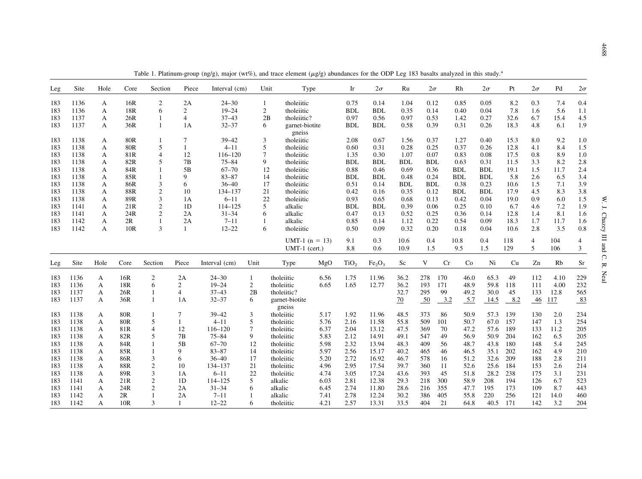<span id="page-3-0"></span>

| Leg | Site | Hole | Core       | Section        | Piece          | Interval (cm) |                | Type<br>Unit      |      | Ir               | $2\sigma$                      | Ru              | $2\sigma$        |     | Rh         | $2\sigma$  | Pt   | $2\sigma$ | Pd   | $2\sigma$ |
|-----|------|------|------------|----------------|----------------|---------------|----------------|-------------------|------|------------------|--------------------------------|-----------------|------------------|-----|------------|------------|------|-----------|------|-----------|
| 183 | 1136 | A    | 16R        | $\overline{2}$ | 2A             | $24 - 30$     | -1             | tholeiitic        |      | 0.75             | 0.14                           | 1.04            | 0.12             |     | 0.85       | 0.05       | 8.2  | 0.3       | 7.4  | 0.4       |
| 183 | 1136 | A    | 18R        | 6              | $\overline{2}$ | $19 - 24$     | 2              | tholeiitic        |      | <b>BDL</b>       | <b>BDL</b>                     | 0.35            | 0.14             |     | 0.40       | 0.04       | 7.8  | 1.6       | 5.6  | 1.1       |
| 183 | 1137 | A    | 26R        |                | $\overline{4}$ | $37 - 43$     |                | 2B<br>tholeiitic? |      | 0.97             | 0.56                           | 0.97            | 0.53             |     | 1.42       | 0.27       | 32.6 | 6.7       | 15.4 | 4.5       |
| 183 | 1137 | A    | 36R        | 1              | 1A             | $32 - 37$     | 6              | garnet-biotite    |      | <b>BDL</b>       | <b>BDL</b>                     | 0.58            | 0.39             |     | 0.31       | 0.26       | 18.3 | 4.8       | 6.1  | 1.9       |
|     |      |      |            |                |                |               |                | gneiss            |      |                  |                                |                 |                  |     |            |            |      |           |      |           |
| 183 | 1138 | A    | 80R        |                | 7              | $39 - 42$     | 3              | tholeiitic        |      | 2.08             | 0.67                           | 1.56            | 0.37             |     | 1.27       | 0.40       | 15.3 | 8.0       | 9.2  | 1.0       |
| 183 | 1138 | A    | <b>80R</b> | 5              | $\overline{1}$ | $4 - 11$      | 5              | tholeiitic        |      | 0.60             | 0.31                           | 0.28            | 0.25             |     | 0.37       | 0.26       | 12.8 | 4.1       | 8.4  | 1.5       |
| 183 | 1138 | A    | 81R        | $\overline{4}$ | 12             | $116 - 120$   | $\overline{7}$ | tholeiitic        |      | 1.35             | 0.30                           | 1.07            | 0.07             |     | 0.83       | 0.08       | 17.5 | 0.8       | 8.9  | 1.0       |
| 183 | 1138 | A    | 82R        | 5              | 7B             | $75 - 84$     | 9              | tholeiitic        |      | <b>BDL</b>       | <b>BDL</b>                     | <b>BDL</b>      | <b>BDL</b>       |     | 0.63       | 0.31       | 11.5 | 3.3       | 8.2  | 2.8       |
| 183 | 1138 | A    | 84R        | -1             | 5B             | $67 - 70$     |                | 12<br>tholeiitic  |      | 0.88             | 0.46                           | 0.69            | 0.36             |     | <b>BDL</b> | <b>BDL</b> | 19.1 | 1.5       | 11.7 | 2.4       |
| 183 | 1138 | A    | 85R        |                | 9              | $83 - 87$     |                | 14<br>tholeiitic  |      | <b>BDL</b>       | <b>BDL</b>                     | 0.48            | 0.24             |     | <b>BDL</b> | <b>BDL</b> | 5.8  | 2.6       | 6.5  | 3.4       |
| 183 | 1138 | A    | 86R        | 3              | 6              | $36 - 40$     |                | tholeiitic<br>17  |      | 0.51             | 0.14                           | <b>BDL</b>      | <b>BDL</b>       |     | 0.38       | 0.23       | 10.6 | 1.5       | 7.1  | 3.9       |
| 183 | 1138 | A    | 88R        | $\overline{2}$ | 10             | 134-137       |                | 21<br>tholeiitic  |      | 0.42             | 0.16                           | 0.35            | 0.12             |     | <b>BDL</b> | <b>BDL</b> | 17.9 | 4.5       | 8.3  | 3.8       |
| 183 | 1138 | A    | 89R        | 3              | 1A             | $6 - 11$      |                | 22<br>tholeiitic  |      | 0.93             | 0.65                           | 0.68            | 0.13             |     | 0.42       | 0.04       | 19.0 | 0.9       | 6.0  | 1.5       |
| 183 | 1141 | A    | 21R        | $\overline{c}$ | 1D             | $114 - 125$   | 5              | alkalic           |      | <b>BDL</b>       | <b>BDL</b>                     | 0.39            | 0.06             |     | 0.25       | 0.10       | 6.7  | 4.6       | 7.2  | 1.9       |
| 183 | 1141 | A    | 24R        | $\overline{2}$ | 2A             | $31 - 34$     | 6              | alkalic           |      | 0.47             | 0.13                           | 0.52            | 0.25             |     | 0.36       | 0.14       | 12.8 | 1.4       | 8.1  | 1.6       |
| 183 | 1142 | A    | 2R         |                | 2A             | $7 - 11$      |                | alkalic           |      | 0.85             | 0.14                           | 1.12            | 0.22             |     | 0.54       | 0.09       | 18.3 | 1.7       | 11.7 | 1.6       |
| 183 | 1142 | A    | 10R        | $\mathbf{3}$   |                | $12 - 22$     | 6              | tholeiitic        |      | 0.50             | 0.09                           | 0.32            | 0.20             |     | 0.18       | 0.04       | 10.6 | 2.8       | 3.5  | 0.8       |
|     |      |      |            |                |                |               |                |                   |      |                  |                                |                 |                  |     |            |            |      |           |      |           |
|     |      |      |            |                |                |               |                | UMT-1 $(n = 13)$  |      | 9.1              | 0.3                            | 10.6            | 0.4              |     | 10.8       | 0.4        | 118  | 4         | 104  | 4         |
|     |      |      |            |                |                |               |                | $UMT-1$ (cert.)   |      | 8.8              | 0.6                            | 10.9            | 1.5              |     | 9.5        | 1.5        | 129  | 5         | 106  | 3         |
| Leg | Site | Hole | Core       | Section        | Piece          | Interval (cm) | Unit           | Type              | MgO  | TiO <sub>2</sub> | Fe <sub>2</sub> O <sub>3</sub> | Sc              | V                | Cr  | Co         | Ni         | Cu   | Zn        | Rb   | Sr        |
| 183 | 1136 | A    | 16R        | $\overline{c}$ | 2A             | $24 - 30$     | 1              | tholeiitic        | 6.56 | 1.75             | 11.96                          | 36.2            | 278              | 170 | 46.0       | 65.3       | 49   | 112       | 4.10 | 229       |
| 183 | 1136 | A    | 18R        | 6              | $\overline{c}$ | $19 - 24$     | $\mathfrak{2}$ | tholeiitic        | 6.65 | 1.65             | 12.77                          | 36.2            | 193              | 171 | 48.9       | 59.8       | 118  | 111       | 4.00 | 232       |
| 183 | 1137 | A    | 26R        | 1              | $\overline{4}$ | $37 - 43$     | 2B             | tholeiitic?       |      |                  |                                | 32.7            | 295              | 99  | 49.2       | 30.0       | 45   | 133       | 12.8 | 565       |
| 183 | 1137 | A    | 36R        | $\mathbf{1}$   | 1A             | $32 - 37$     | 6              | garnet-biotite    |      |                  |                                | $\overline{20}$ | $\underline{50}$ | 3.2 | 5.7        | 14.5       | 8.2  | $-46$     | 117  | 83        |
|     |      |      |            |                |                |               |                | gneiss            |      |                  |                                |                 |                  |     |            |            |      |           |      |           |
| 183 | 1138 | A    | <b>80R</b> | 1              | 7              | $39 - 42$     | 3              | tholeiitic        | 5.17 | 1.92             | 11.96                          | 48.5            | 373              | 86  | 50.9       | 57.3       | 139  | 130       | 2.0  | 234       |
| 183 | 1138 | A    | <b>80R</b> | 5              |                | $4 - 11$      | 5              | tholeiitic        | 5.76 | 2.16             | 11.58                          | 55.8            | 509              | 101 | 50.7       | 67.0       | 157  | 147       | 1.3  | 254       |
| 183 | 1138 | A    | 81R        | $\overline{4}$ | 12             | $116 - 120$   | 7              | tholeiitic        | 6.37 | 2.04             | 13.12                          | 47.5            | 369              | 70  | 47.2       | 57.6       | 189  | 133       | 11.2 | 205       |
| 183 | 1138 | A    | 82R        | 5              | 7B             | $75 - 84$     | 9              | tholeiitic        | 5.83 | 2.12             | 14.91                          | 49.1            | 547              | 49  | 56.9       | 50.9       | 204  | 162       | 6.5  | 205       |
| 183 | 1138 | A    | 84R        | $\overline{1}$ | 5B             | $67 - 70$     | 12             | tholeiitic        | 5.98 | 2.32             | 13.94                          | 48.3            | 409              | 56  | 48.7       | 43.8       | 180  | 148       | 5.4  | 245       |
| 183 | 1138 | A    | 85R        | $\overline{1}$ | 9              | $83 - 87$     | 14             | tholeiitic        | 5.97 | 2.56             | 15.17                          | 40.2            | 465              | 46  | 46.5       | 35.1       | 202  | 162       | 4.9  | 210       |
| 183 | 1138 | A    | 86R        | 3              | 6              | $36 - 40$     | 17             | tholeiitic        | 5.20 | 2.72             | 16.92                          | 46.7            | 578              | 16  | 51.2       | 32.6       | 209  | 188       | 2.8  | 211       |
| 183 | 1138 | A    | 88R        | $\overline{2}$ | 10             | 134-137       | 21             | tholeiitic        | 4.96 | 2.95             | 17.54                          | 39.7            | 360              | 11  | 52.6       | 25.6       | 184  | 153       | 2.6  | 214       |
| 183 | 1138 | A    | 89R        | 3              | 1A             | $6 - 11$      | 22             | tholeiitic        | 4.74 | 3.05             | 17.24                          | 43.6            | 393              | 45  | 51.8       | 28.2       | 238  | 175       | 3.1  | 231       |
| 183 | 1141 | A    | 21R        | $\sqrt{2}$     | 1D             | 114-125       | 5              | alkalic           | 6.03 | 2.81             | 12.38                          | 29.3            | 218              | 300 | 58.9       | 208        | 194  | 126       | 6.7  | 523       |
| 183 | 1141 | A    | 24R        | $\overline{2}$ | 2A             | $31 - 34$     | 6              | alkalic           | 6.45 | 2.74             | 11.80                          | 28.6            | 216              | 355 | 47.7       | 195        | 173  | 109       | 8.7  | 443       |
| 183 | 1142 | A    | 2R         |                | 2A             | $7 - 11$      |                | alkalic           | 7.41 | 2.78             | 12.24                          | 30.2            | 386              | 405 | 55.8       | 220        | 256  | 121       | 14.0 | 460       |
| 183 | 1142 | A    | 10R        | $\mathbf{3}$   |                | $12 - 22$     | 6              | tholeiitic        | 4.21 | 2.57             | 13.31                          | 33.5            | 404              | 21  | 64.8       | 40.5       | 171  | 142       | 3.2  | 204       |

Table 1. Platinum-group (ng/g), major (wt%), and trace element ( $\mu$ g/g) abundances for the ODP Leg 183 basalts analyzed in this study.<sup>a</sup>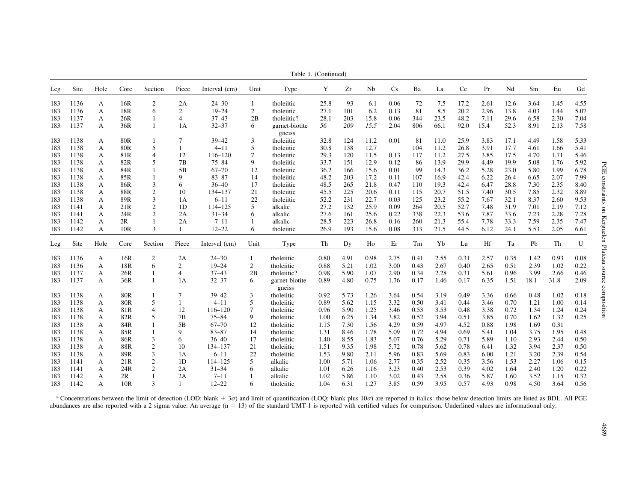|     | Table 1. (Continued) |      |                 |                |                |               |                |                          |      |      |      |      |      |      |      |      |      |      |      |      |
|-----|----------------------|------|-----------------|----------------|----------------|---------------|----------------|--------------------------|------|------|------|------|------|------|------|------|------|------|------|------|
| Leg | Site                 | Hole | Core            | Section        | Piece          | Interval (cm) | Unit           | Type                     | Y    | Zr   | Nb   | Cs   | Ba   | La   | Ce   | Pr   | Nd   | Sm   | Eu   | Gd   |
| 183 | 1136                 | A    | 16R             | $\overline{c}$ | 2A             | $24 - 30$     | $\mathbf{1}$   | tholeiitic               | 25.8 | 93   | 6.1  | 0.06 | 72   | 7.5  | 17.2 | 2.61 | 12.6 | 3.64 | 1.45 | 4.55 |
| 183 | 1136                 | A    | 18R             | 6              | 2              | $19 - 24$     | $\overline{c}$ | tholeiitic               | 27.1 | 101  | 6.2  | 0.13 | 81   | 8.5  | 20.2 | 2.96 | 13.8 | 4.03 | 1.44 | 5.07 |
| 183 | 1137                 | A    | 26R             | $\mathbf{1}$   | $\overline{4}$ | $37 - 43$     | 2B             | tholeiitic?              | 28.1 | 203  | 15.8 | 0.06 | 344  | 23.5 | 48.2 | 7.11 | 29.6 | 6.58 | 2.30 | 7.04 |
| 183 | 1137                 | A    | 36R             | 1              | 1A             | $32 - 37$     | 6              | garnet-biotite           | 56   | 209  | 15.5 | 2.04 | 806  | 66.1 | 92.0 | 15.4 | 52.3 | 8.91 | 2.13 | 7.58 |
|     |                      |      |                 |                |                |               |                | gneiss                   |      |      |      |      |      |      |      |      |      |      |      |      |
| 183 | 1138                 | А    | 80R             | -1             | 7              | $39 - 42$     | 3              | tholeiitic               | 32.8 | 124  | 11.2 | 0.01 | 81   | 11.0 | 25.9 | 3.83 | 17.1 | 4.49 | 1.58 | 5.33 |
| 183 | 1138                 | A    | 80R             | 5              | $\mathbf{1}$   | $4 - 11$      | 5              | tholeiitic               | 30.8 | 138  | 12.7 |      | 104  | 11.2 | 26.8 | 3.91 | 17.7 | 4.61 | 1.66 | 5.41 |
| 183 | 1138                 | А    | 81R             | $\overline{4}$ | 12             | $116 - 120$   | $\overline{7}$ | tholeiitic               | 29.3 | 120  | 11.5 | 0.13 | 117  | 11.2 | 27.5 | 3.85 | 17.5 | 4.70 | 1.71 | 5.46 |
| 183 | 1138                 | A    | 82R             | 5              | 7B             | $75 - 84$     | 9              | tholeiitic               | 33.7 | 151  | 12.9 | 0.12 | 86   | 13.9 | 29.9 | 4.49 | 19.9 | 5.08 | 1.76 | 5.92 |
| 183 | 1138                 | А    | 84R             | 1              | 5B             | $67 - 70$     | 12             | tholeiitic               | 36.2 | 166  | 15.6 | 0.01 | 99   | 14.3 | 36.2 | 5.28 | 23.0 | 5.80 | 1.99 | 6.78 |
| 183 | 1138                 | A    | 85R             | $\mathbf{1}$   | 9              | $83 - 87$     | 14             | tholeiitic               | 48.2 | 203  | 17.2 | 0.11 | 107  | 16.9 | 42.4 | 6.22 | 26.4 | 6.65 | 2.07 | 7.99 |
| 183 | 1138                 | А    | 86R             | 3              | 6              | $36 - 40$     | 17             | tholeiitic               | 48.5 | 265  | 21.8 | 0.47 | 110  | 19.3 | 42.4 | 6.47 | 28.8 | 7.30 | 2.35 | 8.40 |
| 183 | 1138                 | А    | 88R             | $\mathfrak{2}$ | 10             | 134-137       | 21             | tholeiitic               | 45.5 | 225  | 20.6 | 0.11 | 115  | 20.7 | 51.5 | 7.40 | 30.5 | 7.85 | 2.32 | 8.89 |
| 183 | 1138                 | A    | 89R             | 3              | 1A             | $6 - 11$      | 22             | tholeiitic               | 52.2 | 231  | 22.7 | 0.03 | 125  | 23.2 | 55.2 | 7.67 | 32.1 | 8.37 | 2.60 | 9.53 |
| 183 | 1141                 | A    | 21R             | $\overline{c}$ | 1D             | 114-125       | 5              | alkalic                  | 27.2 | 132  | 25.9 | 0.09 | 264  | 20.5 | 52.7 | 7.48 | 31.9 | 7.01 | 2.19 | 7.12 |
| 183 | 1141                 | А    | 24R             | $\mathfrak{2}$ | 2A             | $31 - 34$     | 6              | alkalic                  | 27.6 | 161  | 25.6 | 0.22 | 338  | 22.3 | 53.6 | 7.87 | 33.6 | 7.23 | 2.28 | 7.28 |
| 183 | 1142                 | А    | 2R              | 1              | 2A             | $7 - 11$      | 1              | alkalic                  | 28.5 | 223  | 26.8 | 0.16 | 260  | 21.3 | 55.4 | 7.78 | 33.3 | 7.59 | 2.35 | 7.47 |
| 183 | 1142                 | A    | 10R             | 3              | $\mathbf{1}$   | $12 - 22$     | 6              | tholeiitic               | 26.9 | 193  | 15.6 | 0.08 | 313  | 21.5 | 44.5 | 6.12 | 24.1 | 5.53 | 2.05 | 6.61 |
| Leg | Site                 | Hole | Core            | Section        | Piece          | Interval (cm) | Unit           | Type                     | Th   | Dy   | Ho   | Er   | Tm   | Yb   | Lu   | Hf   | Ta   | Pb   | Th   | U    |
|     | 1136                 |      | 16R             | 2              | 2A             | $24 - 30$     |                | tholeiitic               |      | 4.91 | 0.98 | 2.75 | 0.41 | 2.55 | 0.31 | 2.57 | 0.35 | 1.42 | 0.93 | 0.08 |
| 183 | 1136                 | A    | 18R             | 6              | $\overline{2}$ | $19 - 24$     |                | tholeiitic               | 0.80 | 5.21 | 1.02 | 3.00 | 0.43 | 2.67 | 0.40 | 2.65 | 0.51 | 2.39 | 1.02 | 0.22 |
| 183 | 1137                 | A    |                 |                |                | $37 - 43$     | 2              | tholeiitic?              | 0.88 | 5.90 | 1.07 | 2.90 |      |      | 0.31 |      | 0.96 | 3.99 | 2.66 | 0.46 |
| 183 |                      | А    | 26R             | 1              | $\overline{4}$ |               | 2B             |                          | 0.98 |      |      |      | 0.34 | 2.28 |      | 5.61 |      |      |      |      |
| 183 | 1137                 | А    | 36R             | 1              | 1A             | $32 - 37$     | 6              | garnet-biotite<br>gneiss | 0.89 | 4.80 | 0.75 | 1.76 | 0.17 | 1.46 | 0.17 | 6.35 | 1.51 | 18.1 | 31.8 | 2.09 |
| 183 | 1138                 | A    | 80 <sub>R</sub> | $\mathbf{1}$   | $\tau$         | $39 - 42$     | 3              | tholeiitic               | 0.92 | 5.73 | 1.26 | 3.64 | 0.54 | 3.19 | 0.49 | 3.36 | 0.66 | 0.48 | 1.02 | 0.18 |
| 183 | 1138                 | A    | <b>80R</b>      | 5              | $\mathbf{1}$   | $4 - 11$      | 5              | tholeiitic               | 0.89 | 5.62 | 1.15 | 3.32 | 0.50 | 3.41 | 0.44 | 3.46 | 0.70 | 1.21 | 1.00 | 0.14 |
| 183 | 1138                 | А    | 81R             | $\overline{4}$ | 12             | $116 - 120$   | 7              | tholeiitic               | 0.96 | 5.90 | 1.25 | 3.46 | 0.53 | 3.53 | 0.48 | 3.38 | 0.72 | 1.34 | 1.24 | 0.24 |
| 183 | 1138                 | A    | 82R             | 5              | 7B             | $75 - 84$     | 9              | tholeiitic               | 1.00 | 6.25 | 1.34 | 3.82 | 0.52 | 3.94 | 0.51 | 3.85 | 0.70 | 1.62 | 1.32 | 0.25 |
| 183 | 1138                 | A    | 84R             | 1              | 5B             | $67 - 70$     | 12             | tholeiitic               | 1.15 | 7.30 | 1.56 | 4.29 | 0.59 | 4.97 | 4.52 | 0.88 | 1.98 | 1.69 | 0.31 |      |
| 183 | 1138                 | A    | 85R             | 1              | 9              | $83 - 87$     | 14             | tholeiitic               | 1.31 | 8.46 | 1.78 | 5.09 | 0.72 | 4.94 | 0.69 | 5.41 | 1.04 | 3.75 | 1.95 | 0.48 |
| 183 | 1138                 | A    | 86R             | 3              | 6              | $36 - 40$     | 17             | tholeiitic               | 1.40 | 8.55 | 1.83 | 5.07 | 0.76 | 5.29 | 0.71 | 5.89 | 1.10 | 2.93 | 2.44 | 0.50 |
| 183 | 1138                 | А    | 88R             | $\overline{c}$ | 10             | 134-137       | 21             | tholeiitic               | 1.51 | 9.35 | 1.98 | 5.72 | 0.78 | 5.62 | 0.78 | 6.41 | 1.32 | 3.94 | 2.37 | 0.50 |
| 183 | 1138                 | А    | 89R             | 3              | 1A             | $6 - 11$      | 22             | tholeiitic               | 1.53 | 9.80 | 2.11 | 5.96 | 0.83 | 5.69 | 0.83 | 6.00 | 1.21 | 3.20 | 2.39 | 0.54 |
| 183 | 1141                 | А    | 21R             | $\overline{c}$ | 1D             | 114-125       | 5              | alkalic                  | 1.00 | 5.71 | 1.06 | 2.77 | 0.35 | 2.52 | 0.35 | 3.56 | 1.53 | 2.27 | 1.06 | 0.15 |
| 183 | 1141                 | А    | 24R             | $\overline{c}$ | 2A             | $31 - 34$     | 6              | alkalic                  | 1.01 | 6.26 | 1.16 | 3.23 | 0.40 | 2.53 | 0.39 | 4.02 | 1.64 | 2.40 | 1.20 | 0.22 |
| 183 | 1142                 | A    | 2R              | 1              | 2A             | $7 - 11$      |                | alkalic                  | 1.02 | 5.86 | 1.10 | 3.02 | 0.43 | 2.58 | 0.36 | 5.87 | 1.60 | 3.52 | 1.15 | 0.32 |
| 183 | 1142                 | A    | 10 <sub>R</sub> | 3              | $\mathbf{1}$   | $12 - 22$     | 6              | tholeiitic               | 1.04 | 6.31 | 1.27 | 3.85 | 0.59 | 3.95 | 0.57 | 4.93 | 0.98 | 4.50 | 3.64 | 0.56 |

<sup>a</sup> Concentrations between the limit of detection (LOD: blank  $+3\sigma$ ) and limit of quantification (LOQ: blank plus 10 $\sigma$ ) are reported in italics: those below detection limits are listed as BDL. All PGE abundances are also reported with a 2 sigma value. An average (n = 13) of the standard UMT-1 is reported with certified values for comparison. Underlined values are informational only.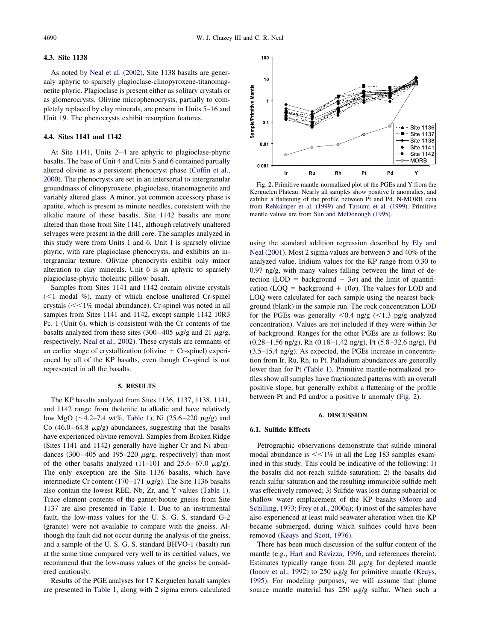#### <span id="page-5-0"></span>**4.3. Site 1138**

As noted by [Neal et al. \(2002\),](#page-15-0) Site 1138 basalts are generaaly aphyric to sparsely plagioclase-clinopyroxene-titanomagnetite phyric. Plagioclase is present either as solitary crystals or as glomerocrysts. Olivine microphenocrysts, partially to completely replaced by clay minerals, are present in Units 5–16 and Unit 19. The phenocrysts exhibit resorption features.

# **4.4. Sites 1141 and 1142**

At Site 1141, Units 2–4 are aphyric to plagioclase-phyric basalts. The base of Unit 4 and Units 5 and 6 contained partially altered olivine as a persistent phenocryst phase [\(Coffin et al.,](#page-14-0) [2000\)](#page-14-0). The phenocrysts are set in an intersertal to intergranular groundmass of clinopyroxene, plagioclase, titanomagnetite and variably altered glass. A minor, yet common accessory phase is apatite, which is present as minute needles, consistent with the alkalic nature of these basalts. Site 1142 basalts are more altered than those from Site 1141, although relatively unaltered selvages were present in the drill core. The samples analyzed in this study were from Units 1 and 6. Unit 1 is sparsely olivine phyric, with rare plagioclase phenocrysts, and exhibits an intergranular texture. Olivine phenocrysts exhibit only minor alteration to clay minerals. Unit 6 is an aphyric to sparsely plagioclase-phyric tholeiitic pillow basalt.

Samples from Sites 1141 and 1142 contain olivine crystals (<1 modal %), many of which enclose unaltered Cr-spinel crystals (<<1% modal abundance). Cr-spinel was noted in all samples from Sites 1141 and 1142, except sample 1142 10R3 Pc. 1 (Unit 6), which is consistent with the Cr contents of the basalts analyzed from these sites  $(300-405 \text{ µg/g}$  and  $21 \text{ µg/g}$ , respectively; [Neal et al., 2002\)](#page-15-0). These crystals are remnants of an earlier stage of crystallization (olivine  $+$  Cr-spinel) experienced by all of the KP basalts, even though Cr-spinel is not represented in all the basalts.

## **5. RESULTS**

The KP basalts analyzed from Sites 1136, 1137, 1138, 1141, and 1142 range from tholeiitic to alkalic and have relatively low MgO ( $\sim$ 4.2–7.4 wt%, [Table 1\)](#page-3-0), Ni (25.6–220  $\mu$ g/g) and Co  $(46.0 - 64.8 \mu g/g)$  abundances, suggesting that the basalts have experienced olivine removal. Samples from Broken Ridge (Sites 1141 and 1142) generally have higher Cr and Ni abundances  $(300-405$  and  $195-220 \mu g/g$ , respectively) than most of the other basalts analyzed  $(11-101$  and  $25.6-67.0$   $\mu$ g/g). The only exception are the Site 1136 basalts, which have intermediate Cr content  $(170-171 \mu g/g)$ . The Site 1136 basalts also contain the lowest REE, Nb, Zr, and Y values [\(Table 1\)](#page-3-0). Trace element contents of the garnet-biotite gneiss from Site 1137 are also presented in [Table 1.](#page-3-0) Due to an instrumental fault, the low-mass values for the U. S. G. S. standard G-2 (granite) were not available to compare with the gneiss. Although the fault did not occur during the analysis of the gneiss, and a sample of the U. S. G. S. standard BHVO-1 (basalt) run at the same time compared very well to its certified values, we recommend that the low-mass values of the gneiss be considered cautiously.

Results of the PGE analyses for 17 Kerguelen basalt samples are presented in [Table 1](#page-3-0), along with 2 sigma errors calculated



Fig. 2. Primitive mantle-normalized plot of the PGEs and Y from the Kerguelen Plateau. Nearly all samples show positive Ir anomalies, and exhibit a flattening of the profile between Pt and Pd. N-MORB data from [Rehkämper et al. \(1999\)](#page-16-0) and [Tatsumi et al. \(1999\).](#page-16-0) Primitive mantle values are from [Sun and McDonough \(1995\).](#page-16-0)

using the standard addition regression described by [Ely and](#page-14-0) [Neal \(2001\).](#page-14-0) Most 2 sigma values are between 5 and 40% of the analyzed value. Iridium values for the KP range from 0.30 to 0.97 ng/g, with many values falling between the limit of detection (LOD = background  $+$  3 $\sigma$ ) and the limit of quantification (LOQ = background +  $10\sigma$ ). The values for LOD and LOQ were calculated for each sample using the nearest background (blank) in the sample run. The rock concentration LOD for the PGEs was generally  $\leq 0.4$  ng/g  $\leq 1.3$  pg/g analyzed concentration). Values are not included if they were within  $3\sigma$ of background. Ranges for the other PGEs are as follows: Ru  $(0.28-1.56 \text{ ng/g})$ , Rh  $(0.18-1.42 \text{ ng/g})$ , Pt  $(5.8-32.6 \text{ ng/g})$ , Pd (3.5–15.4 ng/g). As expected, the PGEs increase in concentration from Ir, Ru, Rh, to Pt. Palladium abundances are generally lower than for Pt [\(Table 1\)](#page-3-0). Primitive mantle-normalized profiles show all samples have fractionated patterns with an overall positive slope, but generally exhibit a flattening of the profile between Pt and Pd and/or a positive Ir anomaly (Fig. 2).

#### **6. DISCUSSION**

#### **6.1. Sulfide Effects**

Petrographic observations demonstrate that sulfide mineral modal abundance is  $<<$ 1% in all the Leg 183 samples examined in this study. This could be indicative of the following: 1) the basalts did not reach sulfide saturation; 2) the basalts did reach sulfur saturation and the resulting immiscible sulfide melt was effectively removed; 3) Sulfide was lost during subaerial or shallow water emplacement of the KP basalts [\(Moore and](#page-15-0) [Schilling, 1973; Frey et al., 2000a\)](#page-15-0); 4) most of the samples have also experienced at least mild seawater alteration when the KP became submerged, during which sulfides could have been removed [\(Keays and Scott, 1976\)](#page-15-0).

There has been much discussion of the sulfur content of the mantle (e.g., [Hart and Ravizza, 1996,](#page-15-0) and references therein). Estimates typically range from 20  $\mu$ g/g for depleted mantle [\(Ionov et al., 1992\)](#page-15-0) to 250  $\mu$ g/g for primitive mantle [\(Keays,](#page-15-0) [1995\)](#page-15-0). For modeling purposes, we will assume that plume source mantle material has  $250 \mu g/g$  sulfur. When such a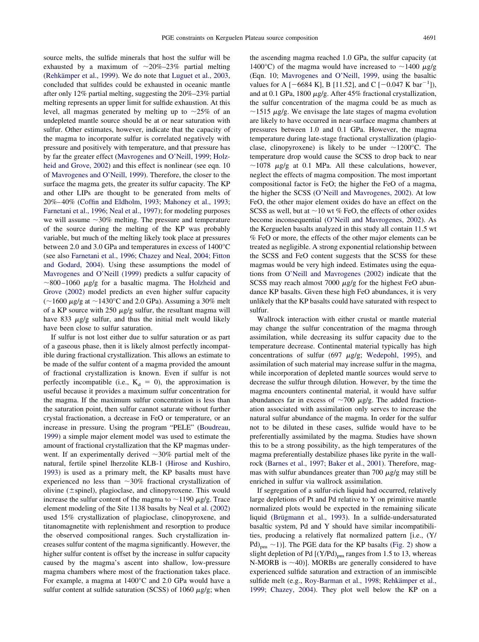source melts, the sulfide minerals that host the sulfur will be exhausted by a maximum of  $\sim 20\% - 23\%$  partial melting [\(Rehkämper et al., 1999\)](#page-16-0). We do note that [Luguet et al., 2003,](#page-15-0) concluded that sulfides could be exhausted in oceanic mantle after only 12% partial melting, suggesting the 20%–23% partial melting represents an upper limit for sulfide exhaustion. At this level, all magmas generated by melting up to  $\sim$ 25% of an undepleted mantle source should be at or near saturation with sulfur. Other estimates, however, indicate that the capacity of the magma to incorporate sulfur is correlated negatively with pressure and positively with temperature, and that pressure has by far the greater effect [\(Mavrogenes and O'Neill, 1999; Holz](#page-15-0)[heid and Grove, 2002\)](#page-15-0) and this effect is nonlinear (see eqn. 10 of [Mavrogenes and O'Neill, 1999\)](#page-15-0). Therefore, the closer to the surface the magma gets, the greater its sulfur capacity. The KP and other LIPs are thought to be generated from melts of 20%–40% [\(Coffin and Eldholm, 1993; Mahoney et al., 1993;](#page-14-0) [Farnetani et al., 1996; Neal et al., 1997\)](#page-14-0); for modeling purposes we will assume  $\sim$ 30% melting. The pressure and temperature of the source during the melting of the KP was probably variable, but much of the melting likely took place at pressures between 2.0 and 3.0 GPa and temperatures in excess of 1400°C (see also [Farnetani et al., 1996; Chazey and Neal, 2004; Fitton](#page-14-0) [and Godard, 2004\)](#page-14-0). Using these assumptions the model of [Mavrogenes and O'Neill \(1999\)](#page-15-0) predicts a sulfur capacity of  $\sim$ 800–1060  $\mu$ g/g for a basaltic magma. The [Holzheid and](#page-15-0) [Grove \(2002\)](#page-15-0) model predicts an even higher sulfur capacity  $(\sim 1600 \ \mu g/g$  at  $\sim 1430^{\circ}$ C and 2.0 GPa). Assuming a 30% melt of a KP source with  $250 \mu g/g$  sulfur, the resultant magma will have 833  $\mu$ g/g sulfur, and thus the initial melt would likely have been close to sulfur saturation.

If sulfur is not lost either due to sulfur saturation or as part of a gaseous phase, then it is likely almost perfectly incompatible during fractional crystallization. This allows an estimate to be made of the sulfur content of a magma provided the amount of fractional crystallization is known. Even if sulfur is not perfectly incompatible (i.e.,  $K_d = 0$ ), the approximation is useful because it provides a maximum sulfur concentration for the magma. If the maximum sulfur concentration is less than the saturation point, then sulfur cannot saturate without further crystal fractionation, a decrease in FeO or temperature, or an increase in pressure. Using the program "PELE" [\(Boudreau,](#page-14-0) [1999\)](#page-14-0) a simple major element model was used to estimate the amount of fractional crystallization that the KP magmas underwent. If an experimentally derived  $\sim$ 30% partial melt of the natural, fertile spinel lherzolite KLB-1 [\(Hirose and Kushiro,](#page-15-0) [1993\)](#page-15-0) is used as a primary melt, the KP basalts must have experienced no less than  $\sim$ 30% fractional crystallization of olivine ( $\pm$ spinel), plagioclase, and clinopyroxene. This would increase the sulfur content of the magma to  $\sim$ 1190  $\mu$ g/g. Trace element modeling of the Site 1138 basalts by [Neal et al. \(2002\)](#page-15-0) used 15% crystallization of plagioclase, clinopyroxene, and titanomagnetite with replenishment and resorption to produce the observed compositional ranges. Such crystallization increases sulfur content of the magma significantly. However, the higher sulfur content is offset by the increase in sulfur capacity caused by the magma's ascent into shallow, low-pressure magma chambers where most of the fractionation takes place. For example, a magma at 1400°C and 2.0 GPa would have a sulfur content at sulfide saturation (SCSS) of 1060  $\mu$ g/g; when

the ascending magma reached 1.0 GPa, the sulfur capacity (at 1400°C) of the magma would have increased to  $\sim$ 1400  $\mu$ g/g (Eqn. 10; [Mavrogenes and O'Neill, 1999,](#page-15-0) using the basaltic values for A [ $-6684$  K], B [11.52], and C [ $-0.047$  K bar<sup>-1</sup>]), and at 0.1 GPa, 1800  $\mu$ g/g. After 45% fractional crystallization, the sulfur concentration of the magma could be as much as  $\sim$ 1515  $\mu$ g/g. We envisage the late stages of magma evolution are likely to have occurred in near-surface magma chambers at pressures between 1.0 and 0.1 GPa. However, the magma temperature during late-stage fractional crystallization (plagioclase, clinopyroxene) is likely to be under  $\sim$ 1200°C. The temperature drop would cause the SCSS to drop back to near  $\sim$ 1078  $\mu$ g/g at 0.1 MPa. All these calculations, however, neglect the effects of magma composition. The most important compositional factor is FeO; the higher the FeO of a magma, the higher the SCSS [\(O'Neill and Mavrogenes, 2002\)](#page-15-0). At low FeO, the other major element oxides do have an effect on the SCSS as well, but at  $\sim$  10 wt % FeO, the effects of other oxides become inconsequential [\(O'Neill and Mavrogenes, 2002\)](#page-15-0). As the Kerguelen basalts analyzed in this study all contain 11.5 wt % FeO or more, the effects of the other major elements can be treated as negligible. A strong exponential relationship between the SCSS and FeO content suggests that the SCSS for these magmas would be very high indeed. Estimates using the equations from [O'Neill and Mavrogenes \(2002\)](#page-15-0) indicate that the SCSS may reach almost 7000  $\mu$ g/g for the highest FeO abundance KP basalts. Given these high FeO abundances, it is very unlikely that the KP basalts could have saturated with respect to sulfur.

Wallrock interaction with either crustal or mantle material may change the sulfur concentration of the magma through assimilation, while decreasing its sulfur capacity due to the temperature decrease. Continental material typically has high concentrations of sulfur (697  $\mu$ g/g; [Wedepohl, 1995\)](#page-16-0), and assimilation of such material may increase sulfur in the magma, while incorporation of depleted mantle sources would serve to decrease the sulfur through dilution. However, by the time the magma encounters continental material, it would have sulfur abundances far in excess of  $\sim$ 700  $\mu$ g/g. The added fractionation associated with assimilation only serves to increase the natural sulfur abundance of the magma. In order for the sulfur not to be diluted in these cases, sulfide would have to be preferentially assimilated by the magma. Studies have shown this to be a strong possibility, as the high temperatures of the magma preferentially destabilize phases like pyrite in the wallrock [\(Barnes et al., 1997; Baker et al., 2001\)](#page-14-0). Therefore, magmas with sulfur abundances greater than 700  $\mu$ g/g may still be enriched in sulfur via wallrock assimilation.

If segregation of a sulfur-rich liquid had occurred, relatively large depletions of Pt and Pd relative to Y on primitive mantle normalized plots would be expected in the remaining silicate liquid [\(Brügmann et al., 1993\)](#page-14-0). In a sulfide-undersaturated basaltic system, Pd and Y should have similar incompatibilities, producing a relatively flat normalized pattern [i.e., (Y/ Pd)<sub>pm</sub>  $\sim$ 1)]. The PGE data for the KP basalts [\(Fig. 2\)](#page-5-0) show a slight depletion of Pd  $[(Y/Pd)<sub>pm</sub>$  ranges from 1.5 to 13, whereas N-MORB is  $\sim$ 40)]. MORBs are generally considered to have experienced sulfide saturation and extraction of an immiscible sulfide melt (e.g., [Roy-Barman et al., 1998; Rehkämper et al.,](#page-16-0) [1999; Chazey, 2004\)](#page-16-0). They plot well below the KP on a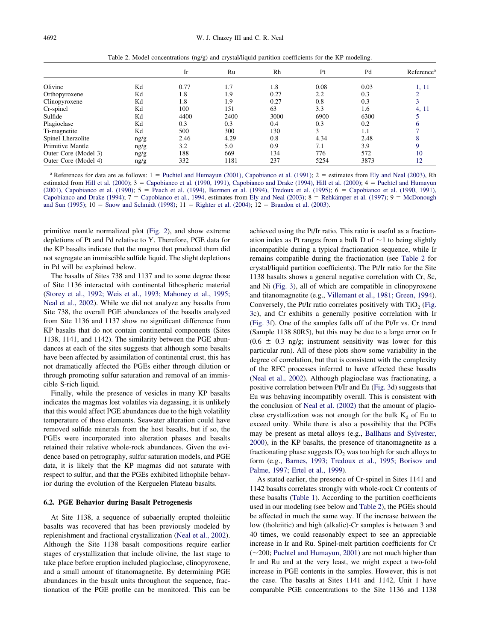Table 2. Model concentrations (ng/g) and crystal/liquid partition coefficients for the KP modeling.

<span id="page-7-0"></span>

|                      |      | Ir   | Ru   | Rh   | Pt   | Pd   | Reference <sup>a</sup> |
|----------------------|------|------|------|------|------|------|------------------------|
|                      |      |      |      |      |      |      |                        |
| Olivine              | Κd   | 0.77 | 1.7  | 1.8  | 0.08 | 0.03 | 1, 11                  |
| Orthopyroxene        | Kd   | 1.8  | 1.9  | 0.27 | 2.2  | 0.3  |                        |
| Clinopyroxene        | Κd   | 1.8  | 1.9  | 0.27 | 0.8  | 0.3  |                        |
| Cr-spinel            | Kd   | 100  | 151  | 63   | 3.3  | 1.6  | 4, 11                  |
| Sulfide              | Κd   | 4400 | 2400 | 3000 | 6900 | 6300 |                        |
| Plagioclase          | Κd   | 0.3  | 0.3  | 0.4  | 0.3  | 0.2  |                        |
| Ti-magnetite         | Κd   | 500  | 300  | 130  | 3    | 1.1  |                        |
| Spinel Lherzolite    | ng/g | 2.46 | 4.29 | 0.8  | 4.34 | 2.48 |                        |
| Primitive Mantle     | ng/g | 3.2  | 5.0  | 0.9  | 7.1  | 3.9  |                        |
| Outer Core (Model 3) | ng/g | 188  | 669  | 134  | 776  | 572  | 10                     |
| Outer Core (Model 4) | ng/g | 332  | 1181 | 237  | 5254 | 3873 | 12                     |

<sup>a</sup> References for data are as follows:  $1 =$  [Puchtel and Humayun \(2001\), Capobianco et al. \(1991\);](#page-16-0)  $2 =$  estimates from [Ely and Neal \(2003\),](#page-14-0) Rh estimated from [Hill et al. \(2000\);](#page-15-0) 3 = [Capobianco et al. \(1990, 1991\), Capobianco and Drake \(1994\), Hill et al. \(2000\);](#page-14-0) 4 = [Puchtel and Humayun](#page-16-0) [\(2001\), Capobianco et al. \(1990\);](#page-16-0)  $5 =$  [Peach et al. \(1994\), Bezmen et al. \(1994\), Tredoux et al. \(1995\);](#page-15-0)  $6 =$  [Capobianco et al. \(1990, 1991\),](#page-14-0) [Capobianco and Drake \(1994\);](#page-14-0)  $7 =$  [Capobianco et al., 1994,](#page-14-0) estimates from [Ely and Neal \(2003\);](#page-14-0)  $8 =$  [Rehkämper et al. \(1997\);](#page-16-0)  $9 =$  [McDonough](#page-15-0) [and Sun \(1995\);](#page-15-0)  $10 =$  [Snow and Schmidt \(1998\);](#page-16-0)  $11 =$  [Righter et al. \(2004\);](#page-16-0)  $12 =$  [Brandon et al. \(2003\).](#page-14-0)

primitive mantle normalized plot [\(Fig. 2\)](#page-5-0), and show extreme depletions of Pt and Pd relative to Y. Therefore, PGE data for the KP basalts indicate that the magma that produced them did not segregate an immiscible sulfide liquid. The slight depletions in Pd will be explained below.

The basalts of Sites 738 and 1137 and to some degree those of Site 1136 interacted with continental lithospheric material [\(Storey et al., 1992; Weis et al., 1993; Mahoney et al., 1995;](#page-16-0) [Neal et al., 2002\)](#page-16-0). While we did not analyze any basalts from Site 738, the overall PGE abundances of the basalts analyzed from Site 1136 and 1137 show no significant difference from KP basalts that do not contain continental components (Sites 1138, 1141, and 1142). The similarity between the PGE abundances at each of the sites suggests that although some basalts have been affected by assimilation of continental crust, this has not dramatically affected the PGEs either through dilution or through promoting sulfur saturation and removal of an immiscible S-rich liquid.

Finally, while the presence of vesicles in many KP basalts indicates the magmas lost volatiles via degassing, it is unlikely that this would affect PGE abundances due to the high volatility temperature of these elements. Seawater alteration could have removed sulfide minerals from the host basalts, but if so, the PGEs were incorporated into alteration phases and basalts retained their relative whole-rock abundances. Given the evidence based on petrography, sulfur saturation models, and PGE data, it is likely that the KP magmas did not saturate with respect to sulfur, and that the PGEs exhibited lithophile behavior during the evolution of the Kerguelen Plateau basalts.

## **6.2. PGE Behavior during Basalt Petrogenesis**

At Site 1138, a sequence of subaerially erupted tholeiitic basalts was recovered that has been previously modeled by replenishment and fractional crystallization [\(Neal et al., 2002\)](#page-15-0). Although the Site 1138 basalt compositions require earlier stages of crystallization that include olivine, the last stage to take place before eruption included plagioclase, clinopyroxene, and a small amount of titanomagnetite. By determining PGE abundances in the basalt units throughout the sequence, fractionation of the PGE profile can be monitored. This can be

achieved using the Pt/Ir ratio. This ratio is useful as a fractionation index as Pt ranges from a bulk D of  $\sim$  1 to being slightly incompatible during a typical fractionation sequence, while Ir remains compatible during the fractionation (see Table 2 for crystal/liquid partition coefficients). The Pt/Ir ratio for the Site 1138 basalts shows a general negative correlation with Cr, Sc, and Ni [\(Fig. 3\)](#page-8-0), all of which are compatible in clinopyroxene and titanomagnetite (e.g., [Villemant et al., 1981; Green, 1994\)](#page-16-0). Conversely, the Pt/Ir ratio correlates positively with TiO<sub>2</sub> [\(Fig.](#page-8-0) [3c](#page-8-0)), and Cr exhibits a generally positive correlation with Ir [\(Fig. 3f](#page-8-0)). One of the samples falls off of the Pt/Ir vs. Cr trend (Sample 1138 80R5), but this may be due to a large error on Ir  $(0.6 \pm 0.3 \text{ ng/g})$ ; instrument sensitivity was lower for this particular run). All of these plots show some variability in the degree of correlation, but that is consistent with the complexity of the RFC processes inferred to have affected these basalts [\(Neal et al., 2002\)](#page-15-0). Although plagioclase was fractionating, a positive correlation between Pt/Ir and Eu [\(Fig. 3d](#page-8-0)) suggests that Eu was behaving incompatibly overall. This is consistent with the conclusion of [Neal et al. \(2002\)](#page-15-0) that the amount of plagioclase crystallization was not enough for the bulk  $K_d$  of Eu to exceed unity. While there is also a possibility that the PGEs may be present as metal alloys (e.g., [Ballhaus and Sylvester,](#page-14-0) [2000\)](#page-14-0), in the KP basalts, the presence of titanomagnetite as a fractionating phase suggests  $fO<sub>2</sub>$  was too high for such alloys to form (e.g., [Barnes, 1993; Tredoux et al., 1995; Borisov and](#page-14-0) [Palme, 1997; Ertel et al., 1999\)](#page-14-0).

As stated earlier, the presence of Cr-spinel in Sites 1141 and 1142 basalts correlates strongly with whole-rock Cr contents of these basalts [\(Table 1\)](#page-3-0). According to the partition coefficients used in our modeling (see below and Table 2), the PGEs should be affected in much the same way. If the increase between the low (tholeiitic) and high (alkalic)-Cr samples is between 3 and 40 times, we could reasonably expect to see an appreciable increase in Ir and Ru. Spinel-melt partition coefficients for Cr  $(\sim 200;$  [Puchtel and Humayun, 2001\)](#page-16-0) are not much higher than Ir and Ru and at the very least, we might expect a two-fold increase in PGE contents in the samples. However, this is not the case. The basalts at Sites 1141 and 1142, Unit 1 have comparable PGE concentrations to the Site 1136 and 1138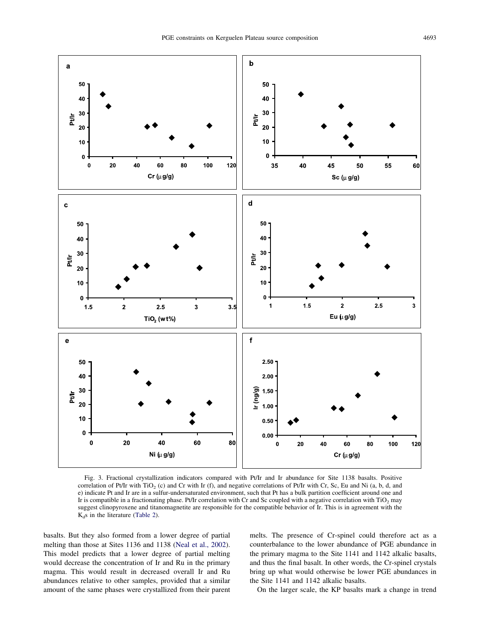<span id="page-8-0"></span>

Fig. 3. Fractional crystallization indicators compared with Pt/Ir and Ir abundance for Site 1138 basalts. Positive correlation of Pt/Ir with TiO<sub>2</sub> (c) and Cr with Ir (f), and negative correlations of Pt/Ir with Cr, Sc, Eu and Ni (a, b, d, and e) indicate Pt and Ir are in a sulfur-undersaturated environment, such that Pt has a bulk partition coefficient around one and Ir is compatible in a fractionating phase. Pt/Ir correlation with Cr and Sc coupled with a negative correlation with TiO<sub>2</sub> may suggest clinopyroxene and titanomagnetite are responsible for the compatible behavior of Ir. This is in agreement with the  $K<sub>d</sub>s$  in the literature [\(Table 2\)](#page-7-0).

basalts. But they also formed from a lower degree of partial melting than those at Sites 1136 and 1138 [\(Neal et al., 2002\)](#page-15-0). This model predicts that a lower degree of partial melting would decrease the concentration of Ir and Ru in the primary magma. This would result in decreased overall Ir and Ru abundances relative to other samples, provided that a similar amount of the same phases were crystallized from their parent melts. The presence of Cr-spinel could therefore act as a counterbalance to the lower abundance of PGE abundance in the primary magma to the Site 1141 and 1142 alkalic basalts, and thus the final basalt. In other words, the Cr-spinel crystals bring up what would otherwise be lower PGE abundances in the Site 1141 and 1142 alkalic basalts.

On the larger scale, the KP basalts mark a change in trend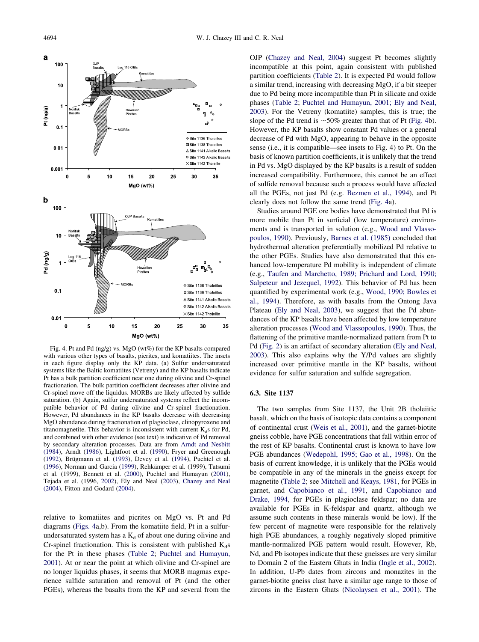

Fig. 4. Pt and Pd (ng/g) vs. MgO (wt%) for the KP basalts compared with various other types of basalts, picrites, and komatiites. The insets in each figure display only the KP data. (a) Sulfur undersaturated systems like the Baltic komatiites (Vetreny) and the KP basalts indicate Pt has a bulk partition coefficient near one during olivine and Cr-spinel fractionation. The bulk partition coefficient decreases after olivine and Cr-spinel move off the liquidus. MORBs are likely affected by sulfide saturation. (b) Again, sulfur undersaturated systems reflect the incompatible behavior of Pd during olivine and Cr-spinel fractionation. However, Pd abundances in the KP basalts decrease with decreasing MgO abundance during fractionation of plagioclase, clinopyroxene and titanomagnetite. This behavior is inconsistent with current  $K<sub>d</sub>$ s for Pd, and combined with other evidence (see text) is indicative of Pd removal by secondary alteration processes. Data are from [Arndt and Nesbitt](#page-13-0) [\(1984\)](#page-13-0), Arndt [\(1986\)](#page-14-0), Lightfoot et al. [\(1990\)](#page-15-0), Fryer and Greenough [\(1992\)](#page-15-0), Brügmann et al. [\(1993\)](#page-14-0), Devey et al. [\(1994\)](#page-14-0), Puchtel et al. [\(1996\)](#page-15-0), Norman and Garcia [\(1999\)](#page-15-0), Rehkämper et al. (1999), Tatsumi et al. (1999), Bennett et al. [\(2000\)](#page-14-0), Puchtel and Humayun [\(2001\)](#page-14-0), Tejada et al. (1996, [2002\)](#page-14-0), Ely and Neal [\(2003\)](#page-14-0), [Chazey and Neal](#page-14-0) [\(2004\)](#page-14-0), Fitton and Godard [\(2004\).](#page-14-0)

relative to komatiites and picrites on MgO vs. Pt and Pd diagrams (Figs. 4a,b). From the komatiite field, Pt in a sulfurundersaturated system has a  $K_d$  of about one during olivine and Cr-spinel fractionation. This is consistent with published  $K_d$ s for the Pt in these phases [\(Table 2;](#page-7-0) [Puchtel and Humayun,](#page-16-0) [2001\)](#page-16-0). At or near the point at which olivine and Cr-spinel are no longer liquidus phases, it seems that MORB magmas experience sulfide saturation and removal of Pt (and the other PGEs), whereas the basalts from the KP and several from the OJP [\(Chazey and Neal, 2004\)](#page-14-0) suggest Pt becomes slightly incompatible at this point, again consistent with published partition coefficients [\(Table 2\)](#page-7-0). It is expected Pd would follow a similar trend, increasing with decreasing MgO, if a bit steeper due to Pd being more incompatible than Pt in silicate and oxide phases [\(Table 2;](#page-7-0) [Puchtel and Humayun, 2001; Ely and Neal,](#page-16-0) [2003\)](#page-16-0). For the Vetreny (komatiite) samples, this is true; the slope of the Pd trend is  $~50\%$  greater than that of Pt (Fig. 4b). However, the KP basalts show constant Pd values or a general decrease of Pd with MgO, appearing to behave in the opposite sense (i.e., it is compatible—see insets to Fig. 4) to Pt. On the basis of known partition coefficients, it is unlikely that the trend in Pd vs. MgO displayed by the KP basalts is a result of sudden increased compatibility. Furthermore, this cannot be an effect of sulfide removal because such a process would have affected all the PGEs, not just Pd (e.g. [Bezmen et al., 1994\)](#page-14-0), and Pt clearly does not follow the same trend (Fig. 4a).

Studies around PGE ore bodies have demonstrated that Pd is more mobile than Pt in surficial (low temperature) environments and is transported in solution (e.g., [Wood and Vlasso](#page-16-0)[poulos, 1990\)](#page-16-0). Previously, [Barnes et al. \(1985\)](#page-14-0) concluded that hydrothermal alteration preferentially mobilized Pd relative to the other PGEs. Studies have also demonstrated that this enhanced low-temperature Pd mobility is independent of climate (e.g., [Taufen and Marchetto, 1989; Prichard and Lord, 1990;](#page-16-0) [Salpeteur and Jezequel, 1992\)](#page-16-0). This behavior of Pd has been quantified by experimental work (e.g., [Wood, 1990; Bowles et](#page-16-0) [al., 1994\)](#page-16-0). Therefore, as with basalts from the Ontong Java Plateau [\(Ely and Neal, 2003\)](#page-14-0), we suggest that the Pd abundances of the KP basalts have been affected by low temperature alteration processes [\(Wood and Vlassopoulos, 1990\)](#page-16-0). Thus, the flattening of the primitive mantle-normalized pattern from Pt to Pd [\(Fig. 2\)](#page-5-0) is an artifact of secondary alteration [\(Ely and Neal,](#page-14-0) [2003\)](#page-14-0). This also explains why the Y/Pd values are slightly increased over primitive mantle in the KP basalts, without evidence for sulfur saturation and sulfide segregation.

## **6.3. Site 1137**

The two samples from Site 1137, the Unit 2B tholeiitic basalt, which on the basis of isotopic data contains a component of continental crust [\(Weis et al., 2001\)](#page-16-0), and the garnet-biotite gneiss cobble, have PGE concentrations that fall within error of the rest of KP basalts. Continental crust is known to have low PGE abundances [\(Wedepohl, 1995; Gao et al., 1998\)](#page-16-0). On the basis of current knowledge, it is unlikely that the PGEs would be compatible in any of the minerals in the gneiss except for magnetite [\(Table 2;](#page-7-0) see [Mitchell and Keays, 1981,](#page-15-0) for PGEs in garnet, and [Capobianco et al., 1991,](#page-14-0) and [Capobianco and](#page-14-0) [Drake, 1994,](#page-14-0) for PGEs in plagioclase feldspar; no data are available for PGEs in K-feldspar and quartz, although we assume such contents in these minerals would be low). If the few percent of magnetite were responsible for the relatively high PGE abundances, a roughly negatively sloped primitive mantle-normalized PGE pattern would result. However, Rb, Nd, and Pb isotopes indicate that these gneisses are very similar to Domain 2 of the Eastern Ghats in India [\(Ingle et al., 2002\)](#page-15-0). In addition, U-Pb dates from zircons and monazites in the garnet-biotite gneiss clast have a similar age range to those of zircons in the Eastern Ghats [\(Nicolaysen et al., 2001\)](#page-15-0). The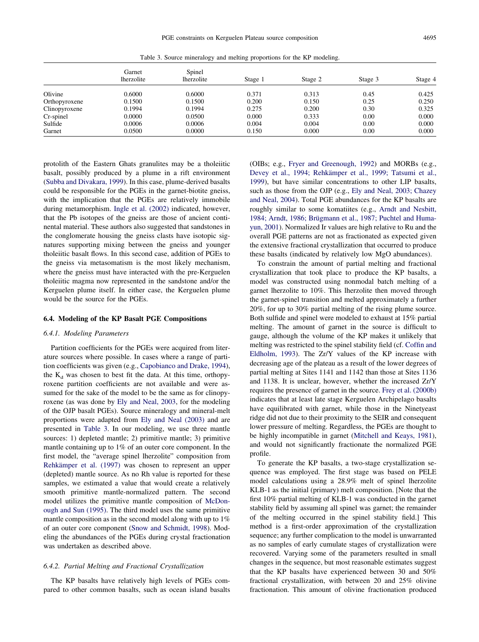Table 3. Source mineralogy and melting proportions for the KP modeling.

<span id="page-10-0"></span>

|               | Garnet<br>lherzolite | Spinel<br><i>lherzolite</i> | Stage 1 | Stage 2 | Stage 3 | Stage 4 |
|---------------|----------------------|-----------------------------|---------|---------|---------|---------|
|               |                      |                             |         |         |         |         |
| Olivine       | 0.6000               | 0.6000                      | 0.371   | 0.313   | 0.45    | 0.425   |
| Orthopyroxene | 0.1500               | 0.1500                      | 0.200   | 0.150   | 0.25    | 0.250   |
| Clinopyroxene | 0.1994               | 0.1994                      | 0.275   | 0.200   | 0.30    | 0.325   |
| Cr-spinel     | 0.0000               | 0.0500                      | 0.000   | 0.333   | 0.00    | 0.000   |
| Sulfide       | 0.0006               | 0.0006                      | 0.004   | 0.004   | 0.00    | 0.000   |
| Garnet        | 0.0500               | 0.0000                      | 0.150   | 0.000   | 0.00    | 0.000   |

protolith of the Eastern Ghats granulites may be a tholeiitic basalt, possibly produced by a plume in a rift environment [\(Subba and Divakara, 1999\)](#page-16-0). In this case, plume-derived basalts could be responsible for the PGEs in the garnet-biotite gneiss, with the implication that the PGEs are relatively immobile during metamorphism. [Ingle et al. \(2002\)](#page-15-0) indicated, however, that the Pb isotopes of the gneiss are those of ancient continental material. These authors also suggested that sandstones in the conglomerate housing the gneiss clasts have isotopic signatures supporting mixing between the gneiss and younger tholeiitic basalt flows. In this second case, addition of PGEs to the gneiss via metasomatism is the most likely mechanism, where the gneiss must have interacted with the pre-Kerguelen tholeiitic magma now represented in the sandstone and/or the Kerguelen plume itself. In either case, the Kerguelen plume would be the source for the PGEs.

#### **6.4. Modeling of the KP Basalt PGE Compositions**

#### *6.4.1. Modeling Parameters*

Partition coefficients for the PGEs were acquired from literature sources where possible. In cases where a range of partition coefficients was given (e.g., [Capobianco and Drake, 1994\)](#page-14-0), the  $K_d$  was chosen to best fit the data. At this time, orthopyroxene partition coefficients are not available and were assumed for the sake of the model to be the same as for clinopyroxene (as was done by [Ely and Neal, 2003,](#page-14-0) for the modeling of the OJP basalt PGEs). Source mineralogy and mineral-melt proportions were adapted from [Ely and Neal \(2003\)](#page-14-0) and are presented in Table 3. In our modeling, we use three mantle sources: 1) depleted mantle; 2) primitive mantle; 3) primitive mantle containing up to 1% of an outer core component. In the first model, the "average spinel lherzolite" composition from [Rehkämper et al. \(1997\)](#page-16-0) was chosen to represent an upper (depleted) mantle source. As no Rh value is reported for these samples, we estimated a value that would create a relatively smooth primitive mantle-normalized pattern. The second model utilizes the primitive mantle composition of [McDon](#page-15-0)[ough and Sun \(1995\).](#page-15-0) The third model uses the same primitive mantle composition as in the second model along with up to 1% of an outer core component [\(Snow and Schmidt, 1998\)](#page-16-0). Modeling the abundances of the PGEs during crystal fractionation was undertaken as described above.

## *6.4.2. Partial Melting and Fractional Crystallization*

The KP basalts have relatively high levels of PGEs compared to other common basalts, such as ocean island basalts

(OIBs; e.g., [Fryer and Greenough, 1992\)](#page-15-0) and MORBs (e.g., [Devey et al., 1994; Rehkämper et al., 1999; Tatsumi et al.,](#page-14-0) [1999\)](#page-14-0), but have similar concentrations to other LIP basalts, such as those from the OJP (e.g., [Ely and Neal, 2003; Chazey](#page-14-0) [and Neal, 2004\)](#page-14-0). Total PGE abundances for the KP basalts are roughly similar to some komatiites (e.g., [Arndt and Nesbitt,](#page-13-0) [1984; Arndt, 1986; Brügmann et al., 1987; Puchtel and Huma](#page-13-0)[yun, 2001\)](#page-13-0). Normalized Ir values are high relative to Ru and the overall PGE patterns are not as fractionated as expected given the extensive fractional crystallization that occurred to produce these basalts (indicated by relatively low MgO abundances).

To constrain the amount of partial melting and fractional crystallization that took place to produce the KP basalts, a model was constructed using nonmodal batch melting of a garnet lherzolite to 10%. This lherzolite then moved through the garnet-spinel transition and melted approximately a further 20%, for up to 30% partial melting of the rising plume source. Both sulfide and spinel were modeled to exhaust at 15% partial melting. The amount of garnet in the source is difficult to gauge, although the volume of the KP makes it unlikely that melting was restricted to the spinel stability field (cf. [Coffin and](#page-14-0) [Eldholm, 1993\)](#page-14-0). The Zr/Y values of the KP increase with decreasing age of the plateau as a result of the lower degrees of partial melting at Sites 1141 and 1142 than those at Sites 1136 and 1138. It is unclear, however, whether the increased Zr/Y requires the presence of garnet in the source. [Frey et al. \(2000b\)](#page-15-0) indicates that at least late stage Kerguelen Archipelago basalts have equilibrated with garnet, while those in the Ninetyeast ridge did not due to their proximity to the SEIR and consequent lower pressure of melting. Regardless, the PGEs are thought to be highly incompatible in garnet [\(Mitchell and Keays, 1981\)](#page-15-0), and would not significantly fractionate the normalized PGE profile.

To generate the KP basalts, a two-stage crystallization sequence was employed. The first stage was based on PELE model calculations using a 28.9% melt of spinel lherzolite KLB-1 as the initial (primary) melt composition. [Note that the first 10% partial melting of KLB-1 was conducted in the garnet stability field by assuming all spinel was garnet; the remainder of the melting occurred in the spinel stability field.] This method is a first-order approximation of the crystallization sequence; any further complication to the model is unwarranted as no samples of early cumulate stages of crystallization were recovered. Varying some of the parameters resulted in small changes in the sequence, but most reasonable estimates suggest that the KP basalts have experienced between 30 and 50% fractional crystallization, with between 20 and 25% olivine fractionation. This amount of olivine fractionation produced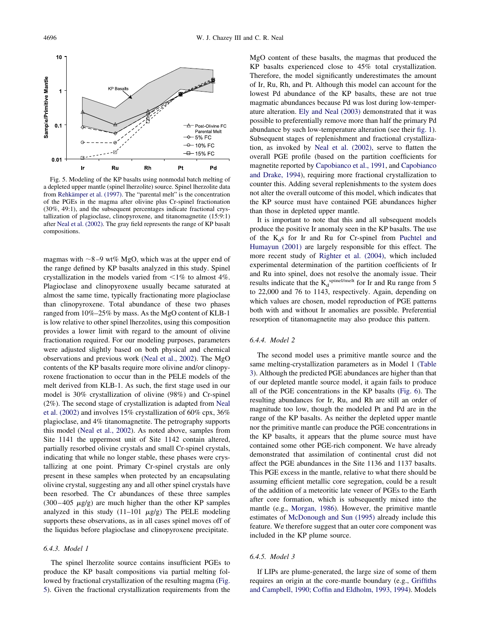<span id="page-11-0"></span>

Fig. 5. Modeling of the KP basalts using nonmodal batch melting of a depleted upper mantle (spinel lherzolite) source. Spinel lherzolite data from [Rehkämper et al. \(1997\).](#page-16-0) The "parental melt" is the concentration of the PGEs in the magma after olivine plus Cr-spinel fractionation (30%, 49:1), and the subsequent percentages indicate fractional crystallization of plagioclase, clinopyroxene, and titanomagnetite (15:9:1) after [Neal et al. \(2002\).](#page-15-0) The gray field represents the range of KP basalt compositions.

magmas with  $\sim$ 8–9 wt% MgO, which was at the upper end of the range defined by KP basalts analyzed in this study. Spinel crystallization in the models varied from  $\leq 1\%$  to almost 4%. Plagioclase and clinopyroxene usually became saturated at almost the same time, typically fractionating more plagioclase than clinopyroxene. Total abundance of these two phases ranged from 10%–25% by mass. As the MgO content of KLB-1 is low relative to other spinel lherzolites, using this composition provides a lower limit with regard to the amount of olivine fractionation required. For our modeling purposes, parameters were adjusted slightly based on both physical and chemical observations and previous work [\(Neal et al., 2002\)](#page-15-0). The MgO contents of the KP basalts require more olivine and/or clinopyroxene fractionation to occur than in the PELE models of the melt derived from KLB-1. As such, the first stage used in our model is 30% crystallization of olivine (98%) and Cr-spinel (2%). The second stage of crystallization is adapted from [Neal](#page-15-0) [et al. \(2002\)](#page-15-0) and involves 15% crystallization of 60% cpx, 36% plagioclase, and 4% titanomagnetite. The petrography supports this model [\(Neal et al., 2002\)](#page-15-0). As noted above, samples from Site 1141 the uppermost unit of Site 1142 contain altered, partially resorbed olivine crystals and small Cr-spinel crystals, indicating that while no longer stable, these phases were crystallizing at one point. Primary Cr-spinel crystals are only present in these samples when protected by an encapsulating olivine crystal, suggesting any and all other spinel crystals have been resorbed. The Cr abundances of these three samples  $(300-405 \mu g/g)$  are much higher than the other KP samples analyzed in this study  $(11-101 \mu g/g)$  The PELE modeling supports these observations, as in all cases spinel moves off of the liquidus before plagioclase and clinopyroxene precipitate.

# *6.4.3. Model 1*

The spinel lherzolite source contains insufficient PGEs to produce the KP basalt compositions via partial melting followed by fractional crystallization of the resulting magma (Fig. 5). Given the fractional crystallization requirements from the

MgO content of these basalts, the magmas that produced the KP basalts experienced close to 45% total crystallization. Therefore, the model significantly underestimates the amount of Ir, Ru, Rh, and Pt. Although this model can account for the lowest Pd abundance of the KP basalts, these are not true magmatic abundances because Pd was lost during low-temperature alteration. [Ely and Neal \(2003\)](#page-14-0) demonstrated that it was possible to preferentially remove more than half the primary Pd abundance by such low-temperature alteration (see their [fig. 1\)](#page-1-0). Subsequent stages of replenishment and fractional crystallization, as invoked by [Neal et al. \(2002\),](#page-15-0) serve to flatten the overall PGE profile (based on the partition coefficients for magnetite reported by [Capobianco et al., 1991,](#page-14-0) and [Capobianco](#page-14-0) [and Drake, 1994\)](#page-14-0), requiring more fractional crystallization to counter this. Adding several replenishments to the system does not alter the overall outcome of this model, which indicates that the KP source must have contained PGE abundances higher than those in depleted upper mantle.

It is important to note that this and all subsequent models produce the positive Ir anomaly seen in the KP basalts. The use of the  $K<sub>d</sub>$ s for Ir and Ru for Cr-spinel from [Puchtel and](#page-16-0) [Humayun \(2001\)](#page-16-0) are largely responsible for this effect. The more recent study of [Righter et al. \(2004\),](#page-16-0) which included experimental determination of the partition coefficients of Ir and Ru into spinel, does not resolve the anomaly issue. Their results indicate that the  $K_d^{spinel/melt}$  for Ir and Ru range from 5 to 22,000 and 76 to 1143, respectively. Again, depending on which values are chosen, model reproduction of PGE patterns both with and without Ir anomalies are possible. Preferential resorption of titanomagnetite may also produce this pattern.

## *6.4.4. Model 2*

The second model uses a primitive mantle source and the same melting-crystallization parameters as in Model 1 [\(Table](#page-10-0) [3\)](#page-10-0). Although the predicted PGE abundances are higher than that of our depleted mantle source model, it again fails to produce all of the PGE concentrations in the KP basalts [\(Fig. 6\)](#page-12-0). The resulting abundances for Ir, Ru, and Rh are still an order of magnitude too low, though the modeled Pt and Pd are in the range of the KP basalts. As neither the depleted upper mantle nor the primitive mantle can produce the PGE concentrations in the KP basalts, it appears that the plume source must have contained some other PGE-rich component. We have already demonstrated that assimilation of continental crust did not affect the PGE abundances in the Site 1136 and 1137 basalts. This PGE excess in the mantle, relative to what there should be assuming efficient metallic core segregation, could be a result of the addition of a meteoritic late veneer of PGEs to the Earth after core formation, which is subsequently mixed into the mantle (e.g., [Morgan, 1986\)](#page-15-0). However, the primitive mantle estimates of [McDonough and Sun \(1995\)](#page-15-0) already include this feature. We therefore suggest that an outer core component was included in the KP plume source.

# *6.4.5. Model 3*

If LIPs are plume-generated, the large size of some of them requires an origin at the core-mantle boundary (e.g., [Griffiths](#page-15-0) [and Campbell, 1990; Coffin and Eldholm, 1993, 1994\)](#page-15-0). Models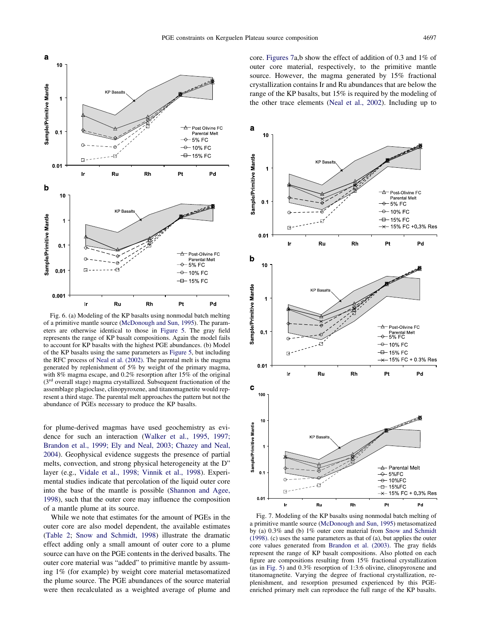<span id="page-12-0"></span>

Fig. 6. (a) Modeling of the KP basalts using nonmodal batch melting of a primitive mantle source [\(McDonough and Sun, 1995\)](#page-15-0). The parameters are otherwise identical to those in [Figure 5.](#page-11-0) The gray field represents the range of KP basalt compositions. Again the model fails to account for KP basalts with the highest PGE abundances. (b) Model of the KP basalts using the same parameters as [Figure 5,](#page-11-0) but including the RFC process of [Neal et al. \(2002\).](#page-15-0) The parental melt is the magma generated by replenishment of 5% by weight of the primary magma, with 8% magma escape, and 0.2% resorption after 15% of the original (3rd overall stage) magma crystallized. Subsequent fractionation of the assemblage plagioclase, clinopyroxene, and titanomagnetite would represent a third stage. The parental melt approaches the pattern but not the abundance of PGEs necessary to produce the KP basalts.

for plume-derived magmas have used geochemistry as evidence for such an interaction [\(Walker et al., 1995, 1997;](#page-16-0) [Brandon et al., 1999; Ely and Neal, 2003; Chazey and Neal,](#page-16-0) [2004\)](#page-16-0). Geophysical evidence suggests the presence of partial melts, convection, and strong physical heterogeneity at the D" layer (e.g., [Vidale et al., 1998; Vinnik et al., 1998\)](#page-16-0). Experimental studies indicate that percolation of the liquid outer core into the base of the mantle is possible [\(Shannon and Agee,](#page-16-0) [1998\)](#page-16-0), such that the outer core may influence the composition of a mantle plume at its source.

While we note that estimates for the amount of PGEs in the outer core are also model dependent, the available estimates [\(Table 2;](#page-7-0) [Snow and Schmidt, 1998\)](#page-16-0) illustrate the dramatic effect adding only a small amount of outer core to a plume source can have on the PGE contents in the derived basalts. The outer core material was "added" to primitive mantle by assuming 1% (for example) by weight core material metasomatized the plume source. The PGE abundances of the source material were then recalculated as a weighted average of plume and

core. Figures 7a,b show the effect of addition of 0.3 and 1% of outer core material, respectively, to the primitive mantle source. However, the magma generated by 15% fractional crystallization contains Ir and Ru abundances that are below the range of the KP basalts, but 15% is required by the modeling of the other trace elements [\(Neal et al., 2002\)](#page-15-0). Including up to



Fig. 7. Modeling of the KP basalts using nonmodal batch melting of a primitive mantle source [\(McDonough and Sun, 1995\)](#page-15-0) metasomatized by (a) 0.3% and (b) 1% outer core material from [Snow and Schmidt](#page-16-0) [\(1998\).](#page-16-0) (c) uses the same parameters as that of (a), but applies the outer core values generated from [Brandon et al. \(2003\).](#page-14-0) The gray fields represent the range of KP basalt compositions. Also plotted on each figure are compositions resulting from 15% fractional crystallization (as in [Fig. 5\)](#page-11-0) and 0.3% resorption of 1:3:6 olivine, clinopyroxene and titanomagnetite. Varying the degree of fractional crystallization, replenishment, and resorption presumed experienced by this PGEenriched primary melt can reproduce the full range of the KP basalts.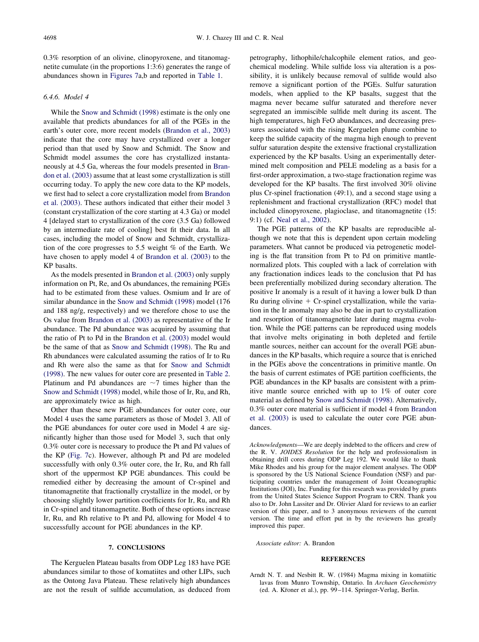<span id="page-13-0"></span>0.3% resorption of an olivine, clinopyroxene, and titanomagnetite cumulate (in the proportions 1:3:6) generates the range of abundances shown in [Figures 7a](#page-12-0),b and reported in [Table 1.](#page-3-0)

# *6.4.6. Model 4*

While the [Snow and Schmidt \(1998\)](#page-16-0) estimate is the only one available that predicts abundances for all of the PGEs in the earth's outer core, more recent models [\(Brandon et al., 2003\)](#page-14-0) indicate that the core may have crystallized over a longer period than that used by Snow and Schmidt. The Snow and Schmidt model assumes the core has crystallized instantaneously at 4.5 Ga, whereas the four models presented in [Bran](#page-14-0)[don et al. \(2003\)](#page-14-0) assume that at least some crystallization is still occurring today. To apply the new core data to the KP models, we first had to select a core crystallization model from [Brandon](#page-14-0) [et al. \(2003\).](#page-14-0) These authors indicated that either their model 3 (constant crystallization of the core starting at 4.3 Ga) or model 4 [delayed start to crystallization of the core (3.5 Ga) followed by an intermediate rate of cooling] best fit their data. In all cases, including the model of Snow and Schmidt, crystallization of the core progresses to 5.5 weight % of the Earth. We have chosen to apply model 4 of [Brandon et al. \(2003\)](#page-14-0) to the KP basalts.

As the models presented in [Brandon et al. \(2003\)](#page-14-0) only supply information on Pt, Re, and Os abundances, the remaining PGEs had to be estimated from these values. Osmium and Ir are of similar abundance in the [Snow and Schmidt \(1998\)](#page-16-0) model (176 and 188 ng/g, respectively) and we therefore chose to use the Os value from [Brandon et al. \(2003\)](#page-14-0) as representative of the Ir abundance. The Pd abundance was acquired by assuming that the ratio of Pt to Pd in the [Brandon et al. \(2003\)](#page-14-0) model would be the same of that as [Snow and Schmidt \(1998\).](#page-16-0) The Ru and Rh abundances were calculated assuming the ratios of Ir to Ru and Rh were also the same as that for [Snow and Schmidt](#page-16-0) [\(1998\).](#page-16-0) The new values for outer core are presented in [Table 2.](#page-7-0) Platinum and Pd abundances are  $\sim$ 7 times higher than the [Snow and Schmidt \(1998\)](#page-16-0) model, while those of Ir, Ru, and Rh, are approximately twice as high.

Other than these new PGE abundances for outer core, our Model 4 uses the same parameters as those of Model 3. All of the PGE abundances for outer core used in Model 4 are significantly higher than those used for Model 3, such that only 0.3% outer core is necessary to produce the Pt and Pd values of the KP [\(Fig. 7c](#page-12-0)). However, although Pt and Pd are modeled successfully with only 0.3% outer core, the Ir, Ru, and Rh fall short of the uppermost KP PGE abundances. This could be remedied either by decreasing the amount of Cr-spinel and titanomagnetite that fractionally crystallize in the model, or by choosing slightly lower partition coefficients for Ir, Ru, and Rh in Cr-spinel and titanomagnetite. Both of these options increase Ir, Ru, and Rh relative to Pt and Pd, allowing for Model 4 to successfully account for PGE abundances in the KP.

## **7. CONCLUSIONS**

The Kerguelen Plateau basalts from ODP Leg 183 have PGE abundances similar to those of komatiites and other LIPs, such as the Ontong Java Plateau. These relatively high abundances are not the result of sulfide accumulation, as deduced from petrography, lithophile/chalcophile element ratios, and geochemical modeling. While sulfide loss via alteration is a possibility, it is unlikely because removal of sulfide would also remove a significant portion of the PGEs. Sulfur saturation models, when applied to the KP basalts, suggest that the magma never became sulfur saturated and therefore never segregated an immiscible sulfide melt during its ascent. The high temperatures, high FeO abundances, and decreasing pressures associated with the rising Kerguelen plume combine to keep the sulfide capacity of the magma high enough to prevent sulfur saturation despite the extensive fractional crystallization experienced by the KP basalts. Using an experimentally determined melt composition and PELE modeling as a basis for a first-order approximation, a two-stage fractionation regime was developed for the KP basalts. The first involved 30% olivine plus Cr-spinel fractionation (49:1), and a second stage using a replenishment and fractional crystallization (RFC) model that included clinopyroxene, plagioclase, and titanomagnetite (15: 9:1) (cf. [Neal et al., 2002\)](#page-15-0).

The PGE patterns of the KP basalts are reproducible although we note that this is dependent upon certain modeling parameters. What cannot be produced via petrogenetic modeling is the flat transition from Pt to Pd on primitive mantlenormalized plots. This coupled with a lack of correlation with any fractionation indices leads to the conclusion that Pd has been preferentially mobilized during secondary alteration. The positive Ir anomaly is a result of it having a lower bulk D than Ru during olivine  $+$  Cr-spinel crystallization, while the variation in the Ir anomaly may also be due in part to crystallization and resorption of titanomagnetite later during magma evolution. While the PGE patterns can be reproduced using models that involve melts originating in both depleted and fertile mantle sources, neither can account for the overall PGE abundances in the KP basalts, which require a source that is enriched in the PGEs above the concentrations in primitive mantle. On the basis of current estimates of PGE partition coefficients, the PGE abundances in the KP basalts are consistent with a primitive mantle source enriched with up to 1% of outer core material as defined by [Snow and Schmidt \(1998\).](#page-16-0) Alternatively, 0.3% outer core material is sufficient if model 4 from [Brandon](#page-14-0) [et al. \(2003\)](#page-14-0) is used to calculate the outer core PGE abundances.

*Acknowledgments*—We are deeply indebted to the officers and crew of the R. V. *JOIDES Resolution* for the help and professionalism in obtaining drill cores during ODP Leg 192. We would like to thank Mike Rhodes and his group for the major element analyses. The ODP is sponsored by the US National Science Foundation (NSF) and participating countries under the management of Joint Oceanographic Institutions (JOI), Inc. Funding for this research was provided by grants from the United States Science Support Program to CRN. Thank you also to Dr. John Lassiter and Dr. Olivier Alard for reviews to an earlier version of this paper, and to 3 anonymous reviewers of the current version. The time and effort put in by the reviewers has greatly improved this paper.

*Associate editor:* A. Brandon

#### **REFERENCES**

Arndt N. T. and Nesbitt R. W. (1984) Magma mixing in komatiitic lavas from Munro Township, Ontario. In *Archaen Geochemistry* (ed. A. Kroner et al.), pp. 99-114. Springer-Verlag, Berlin.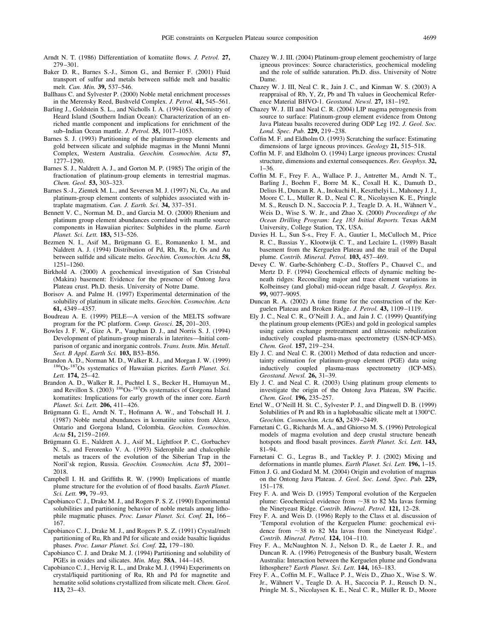- <span id="page-14-0"></span>Arndt N. T. (1986) Differentiation of komatiite flows. *J. Petrol.* **27,** 279–301.
- Baker D. R., Barnes S.-J., Simon G., and Bernier F. (2001) Fluid transport of sulfur and metals between sulfide melt and basaltic melt. *Can. Min.* **39,** 537–546.
- Ballhaus C. and Sylvester P. (2000) Noble metal enrichment processes in the Merensky Reed, Bushveld Complex. *J. Petrol.* **41,** 545–561.
- Barling J., Goldstein S. L., and Nicholls I. A. (1994) Geochemistry of Heard Island (Southern Indian Ocean): Characterization of an enriched mantle component and implications for enrichment of the sub–Indian Ocean mantle. *J. Petrol.* **35,** 1017–1053.
- Barnes S. J. (1993) Partitioning of the platinum-group elements and gold between silicate and sulphide magmas in the Munni Munni Complex, Western Australia. *Geochim. Cosmochim. Acta* **57,** 1277–1290.
- Barnes S. J., Naldrett A. J., and Gorton M. P. (1985) The origin of the fractionation of platinum-group elements in terrestrial magmas. *Chem. Geol.* **53,** 303–323.
- Barnes S.-J., Zientek M. L., and Seversen M. J. (1997) Ni, Cu, Au and platinum-group element contents of sulphides associated with intraplate magmatism. *Can. J. Earth. Sci.* **34,** 337–351.
- Bennett V. C., Norman M. D., and Garcia M. O. (2000) Rhenium and platinum group element abundances correlated with mantle source components in Hawaiian picrites: Sulphides in the plume. *Earth Planet. Sci. Lett.* **183,** 513–526.
- Bezmen N. I., Asif M., Brügmann G. E., Romanenko I. M., and Naldrett A. J. (1994) Distribution of Pd, Rh, Ru, Ir, Os and Au between sulfide and silicate melts. *Geochim. Cosmochim. Acta* **58,** 1251–1260.
- Birkhold A. (2000) A geochemical investigation of San Cristobal (Makira) basement: Evidence for the presence of Ontong Java Plateau crust. Ph.D. thesis. University of Notre Dame.
- Borisov A. and Palme H. (1997) Experimental determination of the solubility of platinum in silicate melts. *Geochim. Cosmochim. Acta* **61,** 4349–4357.
- Boudreau A. E. (1999) PELE—A version of the MELTS software program for the PC platform. *Comp. Geosci*. **25,** 201–203.
- Bowles J. F. W., Gize A. P., Vaughan D. J., and Norris S. J. (1994) Development of platinum-group minerals in laterites—Initial comparison of organic and inorganic controls. *Trans. Instn. Min. Metall. Sect. B Appl. Earth Sci.* **103,** B53–B56.
- Brandon A. D., Norman M. D., Walker R. J., and Morgan J. W. (1999) <sup>186</sup>Os-<sup>187</sup>Os systematics of Hawaiian picrites. *Earth Planet. Sci. Lett.* **174,** 25–42.
- Brandon A. D., Walker R. J., Puchtel I. S., Becker H., Humayun M., and Revillon S. (2003) <sup>186</sup>Os-<sup>187</sup>Os systematics of Gorgona Island komatiites: Implications for early growth of the inner core. *Earth Planet. Sci. Lett.* **206,** 411–426.
- Brügmann G. E., Arndt N. T., Hofmann A. W., and Tobschall H. J. (1987) Noble metal abundances in komatiite suites from Alexo, Ontario and Gorgona Island, Colombia. *Geochim. Cosmochim. Acta* **51,** 2159–2169.
- Brügmann G. E., Naldrett A. J., Asif M., Lightfoot P. C., Gorbachev N. S., and Ferorenko V. A. (1993) Siderophile and chalcophile metals as tracers of the evolution of the Siberian Trap in the Noril'sk region, Russia. *Geochim. Cosmochim. Acta* **57,** 2001– 2018.
- Campbell I. H. and Griffiths R. W. (1990) Implications of mantle plume structure for the evolution of of flood basalts. *Earth Planet. Sci. Lett.* **99,** 79–93.
- Capobianco C. J., Drake M. J., and Rogers P. S. Z. (1990) Experimental solubilities and partitioning behavior of noble metals among lithophile magmatic phases. *Proc. Lunar Planet. Sci. Conf.* **21,** 166– 167.
- Capobianco C. J., Drake M. J., and Rogers P. S. Z. (1991) Crystal/melt partitioning of Ru, Rh and Pd for silicate and oxide basaltic liquidus phases. *Proc. Lunar Planet. Sci. Conf.* **22,** 179–180.
- Capobianco C. J. and Drake M. J. (1994) Partitioning and solubility of PGEs in oxides and silicates. *Min. Mag.* **58A**, 144–145.
- Capobianco C. J., Hervig R. L., and Drake M. J. (1994) Experiments on crystal/liquid partitioning of Ru, Rh and Pd for magnetite and hematite solid solutions crystallized from silicate melt. *Chem. Geol.* **113,** 23–43.
- Chazey W. J. III. (2004) Platinum-group element geochemistry of large igneous provinces: Source characteristics, geochemical modeling and the role of sulfide saturation. Ph.D. diss. University of Notre Dame.
- Chazey W. J. III, Neal C. R., Jain J. C., and Kinman W. S. (2003) A reappraisal of Rb, Y, Zr, Pb and Th values in Geochemical Reference Material BHVO-1. *Geostand. Newsl.* **27,** 181–192.
- Chazey W. J. III and Neal C. R. (2004) LIP magma petrogenesis from source to surface: Platinum-group element evidence from Ontong Java Plateau basalts recovered during ODP Leg 192. *J. Geol. Soc. Lond. Spec. Pub.* **229,** 219–238.
- Coffin M. F. and Eldholm O. (1993) Scratching the surface: Estimating dimensions of large igneous provinces. *Geology* **21,** 515–518.
- Coffin M. F. and Eldholm O. (1994) Large igneous provinces: Crustal structure, dimensions and external consequences. *Rev. Geophys.* **32,** 1–36.
- Coffin M. F., Frey F. A., Wallace P. J., Antretter M., Arndt N. T., Barling J., Boehm F., Borre M. K., Coxall H. K., Damuth D., Delius H., Duncan R. A., Inokuchi H., Keszthelyi L., Mahoney J. J., Moore C. L., Müller R. D., Neal C. R., Nicolaysen K. E., Pringle M. S., Reusch D. N., Saccocia P. J., Teagle D. A. H., Wähnert V., Weis D., Wise S. W. Jr., and Zhao X. (2000) *Proceedings of the Ocean Drilling Program: Leg 183 Initial Reports.* Texas A&M University, College Station, TX, USA.
- Davies H. L., Sun S-s., Frey F. A., Gautier I., McCulloch M., Price R. C., Bassias Y., Klootwijk C. T., and Leclaire L. (1989) Basalt basement from the Kerguelen Plateau and the trail of the Dupal plume. *Contrib. Mineral. Petrol.* **103,** 457–469.
- Devey C. W. Garbe-Schönberg C.-D., Stoffers P., Chauvel C., and Mertz D. F. (1994) Geochemical effects of dynamic melting beneath ridges: Reconciling major and trace element variations in Kolbeinsey (and global) mid-ocean ridge basalt. *J. Geophys. Res.* **99,** 9077–9095.
- Duncan R. A. (2002) A time frame for the construction of the Kerguelen Plateau and Broken Ridge. *J. Petrol.* **43,** 1109–1119.
- Ely J. C., Neal C. R., O'Neill J. A., and Jain J. C. (1999) Quantifying the platinum group elements (PGEs) and gold in geological samples using cation exchange pretreatment and ultrasonic nebulization inductively coupled plasma-mass spectrometry (USN-ICP-MS). *Chem. Geol.* **157,** 219–234.
- Ely J. C. and Neal C. R. (2001) Method of data reduction and uncertainty estimation for platinum-group element (PGE) data using inductively coupled plasma-mass spectrometry (ICP-MS). *Geostand. Newsl.* **26,** 31–39.
- Ely J. C. and Neal C. R. (2003) Using platinum group elements to investigate the origin of the Ontong Java Plateau, SW Pacific. *Chem. Geol.* **196,** 235–257.
- Ertel W., O'Neill H. St. C., Sylvester P. J., and Dingwell D. B. (1999) Solubilities of Pt and Rh in a haplobasaltic silicate melt at 1300°C. *Geochim. Cosmochim. Acta* **63,** 2439–2449.
- Farnetani C. G., Richards M. A., and Ghiorso M. S. (1996) Petrological models of magma evolution and deep crustal structure beneath hotspots and flood basalt provinces. *Earth Planet. Sci. Lett.* **143,** 81–94.
- Farnetani C. G., Legras B., and Tackley P. J. (2002) Mixing and deformations in mantle plumes. *Earth Planet. Sci. Lett.* **196,** 1–15.
- Fitton J. G. and Godard M. M. (2004) Origin and evolution of magmas on the Ontong Java Plateau. *J. Geol. Soc. Lond. Spec. Pub.* **229,** 151–178.
- Frey F. A. and Weis D. (1995) Temporal evolution of the Kerguelen plume: Geochemical evidence from  $\sim$ 38 to 82 Ma lavas forming the Ninetyeast Ridge. *Contrib. Mineral. Petrol.* **121,** 12–28.
- Frey F. A. and Weis D. (1996) Reply to the Class et al. discussion of 'Temporal evolution of the Kerguelen Plume: geochemical evidence from 38 to 82 Ma lavas from the Ninetyeast Ridge'. *Contrib. Mineral. Petrol.* **124,** 104–110.
- Frey F. A., McNaughton N. J., Nelson D. R., de Laeter J. R., and Duncan R. A. (1996) Petrogenesis of the Bunbury basalt, Western Australia: Interaction between the Kerguelen plume and Gondwana lithosphere? *Earth Planet. Sci. Lett.* **144,** 163–183.
- Frey F. A., Coffin M. F., Wallace P. J., Weis D., Zhao X., Wise S. W. Jr., Wähnert V., Teagle D. A. H., Saccocia P. J., Reusch D. N., Pringle M. S., Nicolaysen K. E., Neal C. R., Müller R. D., Moore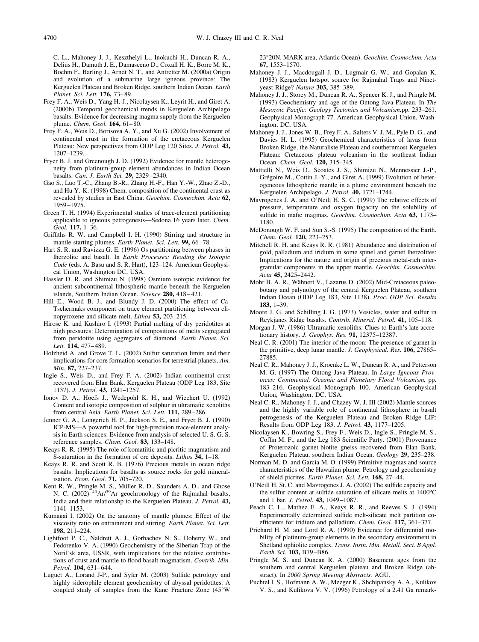<span id="page-15-0"></span>C. L., Mahoney J. J., Keszthelyi L., Inokuchi H., Duncan R. A., Delius H., Damuth J. E., Damasceno D., Coxall H. K., Borre M. K., Boehm F., Barling J., Arndt N. T., and Antretter M. (2000a) Origin and evolution of a submarine large igneous province: The Kerguelen Plateau and Broken Ridge, southern Indian Ocean. *Earth Planet. Sci. Lett.* **176,** 73–89.

- Frey F. A., Weis D., Yang H.-J., Nicolaysen K., Leyrit H., and Giret A. (2000b) Temporal geochemical trends in Kerguelen Archipelago basalts: Evidence for decreasing magma supply from the Kerguelen plume. *Chem. Geol.* **164,** 61–80.
- Frey F. A., Weis D., Borisova A. Y., and Xu G. (2002) Involvement of continental crust in the formation of the cretaceous Kerguelen Plateau: New perspectives from ODP Leg 120 Sites. *J. Petrol.* **43,** 1207–1239.
- Fryer B. J. and Greenough J. D. (1992) Evidence for mantle heterogeneity from platinum-group element abundances in Indian Ocean basalts. *Can. J. Earth Sci.* **29,** 2329–2340.
- Gao S., Luo T.-C., Zhang B.-R., Zhang H.-F., Han Y.-W., Zhao Z.-D., and Hu Y.-K. (1998) Chem. composition of the continental crust as revealed by studies in East China. *Geochim. Cosmochim. Acta* **62,** 1959–1975.
- Green T. H. (1994) Experimental studies of trace-element partitioning applicable to igneous petrogenesis—Sedona 16 years later. *Chem. Geol.* **117,** 1–36.
- Griffiths R. W. and Campbell I. H. (1990) Stirring and structure in mantle starting plumes. *Earth Planet. Sci. Lett.* **99,** 66–78.
- Hart S. R. and Ravizza G. E. (1996) Os partitioning between phases in lherzolite and basalt. In *Earth Processes: Reading the Isotopic Code* (eds. A. Basu and S. R. Hart), 123–124. American Geophysical Union, Washington DC, USA.
- Hassler D. R. and Shimizu N. (1998) Osmium isotopic evidence for ancient subcontinental lithospheric mantle beneath the Kerguelen islands, Southern Indian Ocean. *Science* **280,** 418–421.
- Hill E., Wood B. J., and Blundy J. D. (2000) The effect of Ca-Tschermaks component on trace element partitioning between clinopyroxene and silicate melt. *Lithos* **53,** 203–215.
- Hirose K. and Kushiro I. (1993) Partial melting of dry peridotites at high pressures: Determination of compositions of melts segregated from peridotite using aggregates of diamond. *Earth Planet. Sci. Lett.* **114,** 477–489.
- Holzheid A. and Grove T. L. (2002) Sulfur saturation limits and their implications for core formation scenarios for terrestrial planets. *Am. Min.* **87,** 227–237.
- Ingle S., Weis D., and Frey F. A. (2002) Indian continental crust recovered from Elan Bank, Kerguelen Plateau (ODP Leg 183, Site 1137). *J. Petrol.* **43,** 1241–1257.
- Ionov D. A., Hoefs J., Wedepohl K. H., and Wiechert U. (1992) Content and isotopic composition of sulphur in ultramafic xenoliths from central Asia. *Earth Planet. Sci. Lett.* **111,** 289–286.
- Jenner G. A., Longerich H. P., Jackson S. E., and Fryer B. J. (1990) ICP-MS—A powerful tool for high-precision trace-element analysis in Earth sciences: Evidence from analysis of selected U. S. G. S. reference samples. *Chem. Geol.* **83,** 133–148.
- Keays R. R. (1995) The role of komatiitic and picritic magmatism and S-saturation in the formation of ore deposits. *Lithos* **34,** 1–18.
- Keays R. R. and Scott R. B. (1976) Precious metals in ocean ridge basalts: Implications for basalts as source rocks for gold mineralisation. *Econ. Geol.* **71,** 705–720.
- Kent R. W., Pringle M. S., Müller R. D., Saunders A. D., and Ghose N. C. (2002)<sup>40</sup>Ar/<sup>39</sup>Ar geochronology of the Rajmahal basalts, India and their relationshp to the Kerguelen Plateau. *J. Petrol.* **43,** 1141–1153.
- Kumagai I. (2002) On the anatomy of mantle plumes: Effect of the viscosity ratio on entrainment and stirring. *Earth Planet. Sci. Lett.* **198,** 211–224.
- Lightfoot P. C., Naldrett A. J., Gorbachev N. S., Doherty W., and Fedorenko V. A. (1990) Geochemistry of the Siberian Trap of the Noril'sk area, USSR, with implications for the relative contributions of crust and mantle to flood basalt magmatism. *Contrib. Min. Petrol.* **104,** 631–644.
- Luguet A., Lorand J-P., and Syler M. (2003) Sulfide petrology and highly siderophile element geochemistry of abyssal peridotites: A coupled study of samples from the Kane Fracture Zone (45°W

23°20N, MARK area, Atlantic Ocean). *Geochim. Cosmochim. Acta* **67,** 1553–1570.

- Mahoney J. J., Macdougall J. D., Lugmair G. W., and Gopalan K. (1983) Kerguelen hotspot source for Rajmahal Traps and Ninetyeast Ridge? *Nature* **303,** 385–389.
- Mahoney J. J., Storey M., Duncan R. A., Spencer K. J., and Pringle M. (1993) Geochemistry and age of the Ontong Java Plateau. In *The Mesozoic Pacific: Geology Tectonics and Volcanism,*pp. 233–261. Geophysical Monograph 77. American Geophysical Union, Washington, DC, USA.
- Mahoney J. J., Jones W. B., Frey F. A., Salters V. J. M., Pyle D. G., and Davies H. L. (1995) Geochemical characteristics of lavas from Broken Ridge, the Naturaliste Plateau and southernmost Kerguelen Plateau: Cretaceous plateau volcanism in the southeast Indian Ocean. *Chem. Geol.* **120,** 315–345.
- Mattielli N., Weis D., Scoates J. S., Shimizu N., Mennessier J.-P., Grégoire M., Cottin J.-Y., and Giret A. (1999) Evolution of heterogeneous lithospheric mantle in a plume environment beneath the Kerguelen Archipelago. *J. Petrol.* **40,** 1721–1744.
- Mavrogenes J. A. and O'Neill H. S. C. (1999) The relative effects of pressure, temperature and oxygen fugacity on the solubility of sulfide in mafic magmas. *Geochim. Cosmochim. Acta* **63,** 1173– 1180.
- McDonough W. F. and Sun S.-S. (1995) The composition of the Earth. *Chem. Geol.* **120,** 223–253.
- Mitchell R. H. and Keays R. R. (1981) Abundance and distribution of gold, palladium and iridium in some spinel and garnet lherzolites: Implications for the nature and origin of precious metal-rich intergranular components in the upper mantle. *Geochim. Cosmochim. Acta* **45,** 2425–2442.
- Mohr B. A. R., Wähnert V., Lazarus D. (2002) Mid-Cretaceous paleobotany and palynology of the central Kerguelen Plateau, southern Indian Ocean (ODP Leg 183, Site 1138). *Proc. ODP Sci. Results* **183,** 1–39.
- Moore J. G. and Schilling J. G. (1973) Vesicles, water and sulfur in Reykjanes Ridge basalts. *Contrib. Mineral. Petrol.* **41,** 105–118.
- Morgan J. W. (1986) Ultramafic xenoliths: Clues to Earth's late accretionary history. *J. Geophys. Res.* **91,** 12375–12387.
- Neal C. R. (2001) The interior of the moon: The presence of garnet in the primitive, deep lunar mantle. *J. Geophysical. Res.* **106,** 27865– 27885.
- Neal C. R., Mahoney J. J., Kroenke L. W., Duncan R. A., and Petterson M. G. (1997) The Ontong Java Plateau. In *Large Igneous Provinces: Continental, Oceanic and Planetary Flood Volcanism,* pp. 183–216. Geophysical Monograph 100. American Geophysical Union, Washington, DC, USA.
- Neal C. R., Mahoney J. J., and Chazey W. J. III (2002) Mantle sources and the highly variable role of continental lithosphere in basalt petrogenesis of the Kerguelen Plateau and Broken Ridge LIP: Results from ODP Leg 183. *J. Petrol.* **43,** 1177–1205.
- Nicolaysen K., Bowring S., Frey F., Weis D., Ingle S., Pringle M. S., Coffin M. F., and the Leg 183 Scientific Party. (2001) Provenance of Proterozoic garnet-biotite gneiss recovered from Elan Bank, Kerguelen Plateau, southern Indian Ocean. *Geology* **29,** 235–238.
- Norman M. D. and Garcia M. O. (1999) Primitive magmas and source characteristics of the Hawaiian plume: Petrology and geochemistry of shield picrites. *Earth Planet. Sci. Lett.* **168,** 27–44.
- O'Neill H. St. C. and Mavrogenes J. A. (2002) The sulfide capacity and the sulfur content at sulfide saturation of silicate melts at 1400°C and 1 bar. *J. Petrol.* **43,** 1049–1087.
- Peach C. L., Mathez E. A., Keays R. R., and Reeves S. J. (1994) Experimentally determined sulfide melt-silicate melt partition coefficients for iridium and palladium. *Chem. Geol.* **117,** 361–377.
- Prichard H. M. and Lord R. A. (1990) Evidence for differential mobility of platinum-group elements in the secondary environment in Shetland ophiolite complex. *Trans. Instn. Min. Metall. Sect. B Appl. Earth Sci.* **103,** B79–B86.
- Pringle M. S. and Duncan R. A. (2000) Basement ages from the southern and central Kerguelen plateau and Broken Ridge (abstract). In *2000 Spring Meeting Abstracts.* AGU.
- Puchtel I. S., Hofmann A. W., Mezger K., Shchipansky A. A., Kulikov V. S., and Kulikova V. V. (1996) Petrology of a 2.41 Ga remark-